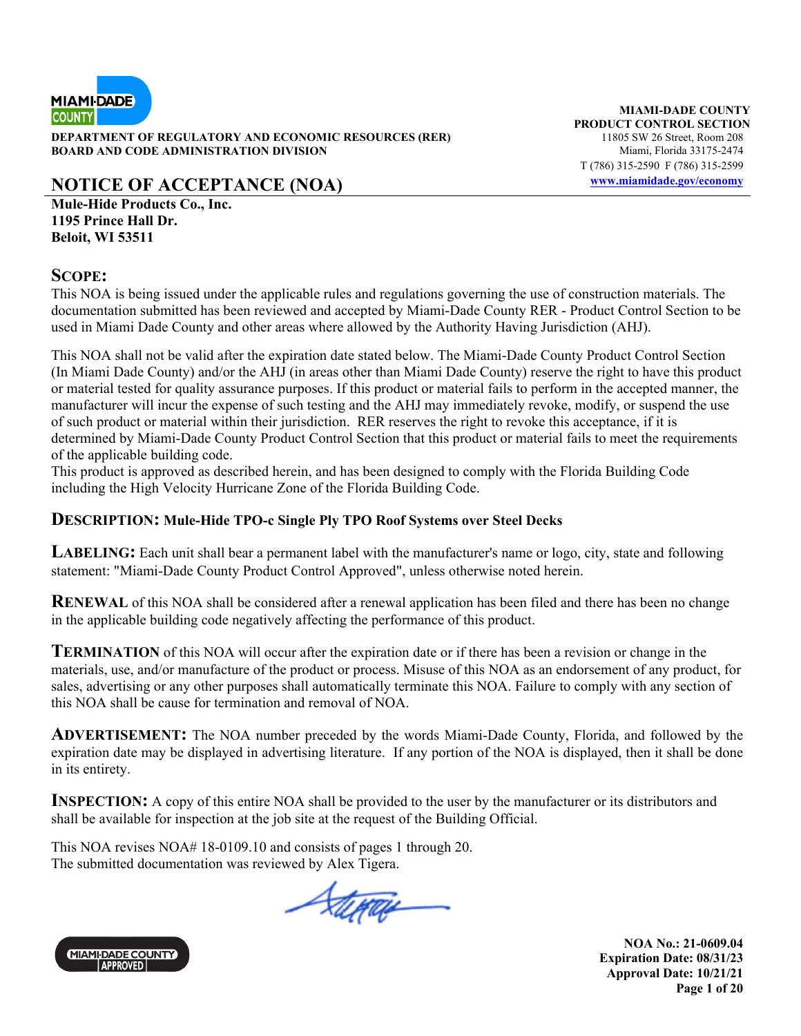

**DEPARTMENT OF REGULATORY AND ECONOMIC RESOURCES (RER)** 11805 SW 26 Street, Room 208 **BOARD AND CODE ADMINISTRATION DIVISION Miami, Florida 33175-2474** 

**NOTICE OF ACCEPTANCE (NOA) www.miamidade.gov/economy**

**Mule-Hide Products Co., Inc. 1195 Prince Hall Dr. Beloit, WI 53511** 

### **SCOPE:**

This NOA is being issued under the applicable rules and regulations governing the use of construction materials. The documentation submitted has been reviewed and accepted by Miami-Dade County RER - Product Control Section to be used in Miami Dade County and other areas where allowed by the Authority Having Jurisdiction (AHJ).

This NOA shall not be valid after the expiration date stated below. The Miami-Dade County Product Control Section (In Miami Dade County) and/or the AHJ (in areas other than Miami Dade County) reserve the right to have this product or material tested for quality assurance purposes. If this product or material fails to perform in the accepted manner, the manufacturer will incur the expense of such testing and the AHJ may immediately revoke, modify, or suspend the use of such product or material within their jurisdiction. RER reserves the right to revoke this acceptance, if it is determined by Miami-Dade County Product Control Section that this product or material fails to meet the requirements of the applicable building code.

This product is approved as described herein, and has been designed to comply with the Florida Building Code including the High Velocity Hurricane Zone of the Florida Building Code.

### **DESCRIPTION: Mule-Hide TPO-c Single Ply TPO Roof Systems over Steel Decks**

**LABELING:** Each unit shall bear a permanent label with the manufacturer's name or logo, city, state and following statement: "Miami-Dade County Product Control Approved", unless otherwise noted herein.

**RENEWAL** of this NOA shall be considered after a renewal application has been filed and there has been no change in the applicable building code negatively affecting the performance of this product.

**TERMINATION** of this NOA will occur after the expiration date or if there has been a revision or change in the materials, use, and/or manufacture of the product or process. Misuse of this NOA as an endorsement of any product, for sales, advertising or any other purposes shall automatically terminate this NOA. Failure to comply with any section of this NOA shall be cause for termination and removal of NOA.

**ADVERTISEMENT:** The NOA number preceded by the words Miami-Dade County, Florida, and followed by the expiration date may be displayed in advertising literature. If any portion of the NOA is displayed, then it shall be done in its entirety.

**INSPECTION:** A copy of this entire NOA shall be provided to the user by the manufacturer or its distributors and shall be available for inspection at the job site at the request of the Building Official.

This NOA revises NOA# 18-0109.10 and consists of pages 1 through 20. The submitted documentation was reviewed by Alex Tigera.

Stepar



**MIAMI-DADE COUNTY PRODUCT CONTROL SECTION** T (786) 315-2590 F (786) 315-2599

> **NOA No.: 21-0609.04 Expiration Date: 08/31/23 Approval Date: 10/21/21 Page 1 of 20**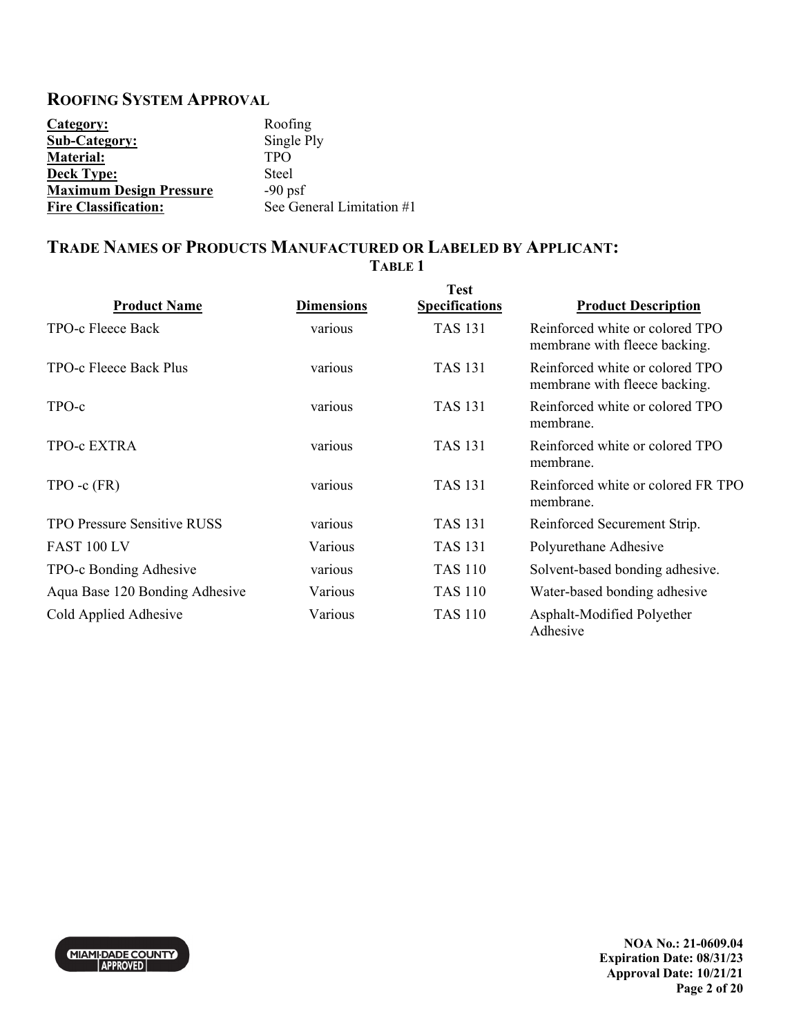### **ROOFING SYSTEM APPROVAL**

| Category:                      | Roofing                   |
|--------------------------------|---------------------------|
| <b>Sub-Category:</b>           | Single Ply                |
| <b>Material:</b>               | <b>TPO</b>                |
| <b>Deck Type:</b>              | Steel                     |
| <b>Maximum Design Pressure</b> | $-90$ psf                 |
| <b>Fire Classification:</b>    | See General Limitation #1 |

### **TRADE NAMES OF PRODUCTS MANUFACTURED OR LABELED BY APPLICANT: TABLE 1**

| <b>Product Name</b>                | <b>Dimensions</b> | <b>Test</b><br><b>Specifications</b> | <b>Product Description</b>                                       |
|------------------------------------|-------------------|--------------------------------------|------------------------------------------------------------------|
| TPO-c Fleece Back                  | various           | <b>TAS 131</b>                       | Reinforced white or colored TPO<br>membrane with fleece backing. |
| TPO-c Fleece Back Plus             | various           | <b>TAS 131</b>                       | Reinforced white or colored TPO<br>membrane with fleece backing. |
| TPO-c                              | various           | <b>TAS 131</b>                       | Reinforced white or colored TPO<br>membrane.                     |
| TPO-c EXTRA                        | various           | <b>TAS 131</b>                       | Reinforced white or colored TPO<br>membrane.                     |
| $TPO - c$ $(FR)$                   | various           | <b>TAS 131</b>                       | Reinforced white or colored FR TPO<br>membrane.                  |
| <b>TPO Pressure Sensitive RUSS</b> | various           | <b>TAS 131</b>                       | Reinforced Securement Strip.                                     |
| <b>FAST 100 LV</b>                 | Various           | <b>TAS 131</b>                       | Polyurethane Adhesive                                            |
| TPO-c Bonding Adhesive             | various           | <b>TAS 110</b>                       | Solvent-based bonding adhesive.                                  |
| Aqua Base 120 Bonding Adhesive     | Various           | <b>TAS 110</b>                       | Water-based bonding adhesive                                     |
| Cold Applied Adhesive              | Various           | <b>TAS 110</b>                       | Asphalt-Modified Polyether<br>Adhesive                           |



**NOA No.: 21-0609.04 Expiration Date: 08/31/23 Approval Date: 10/21/21 Page 2 of 20**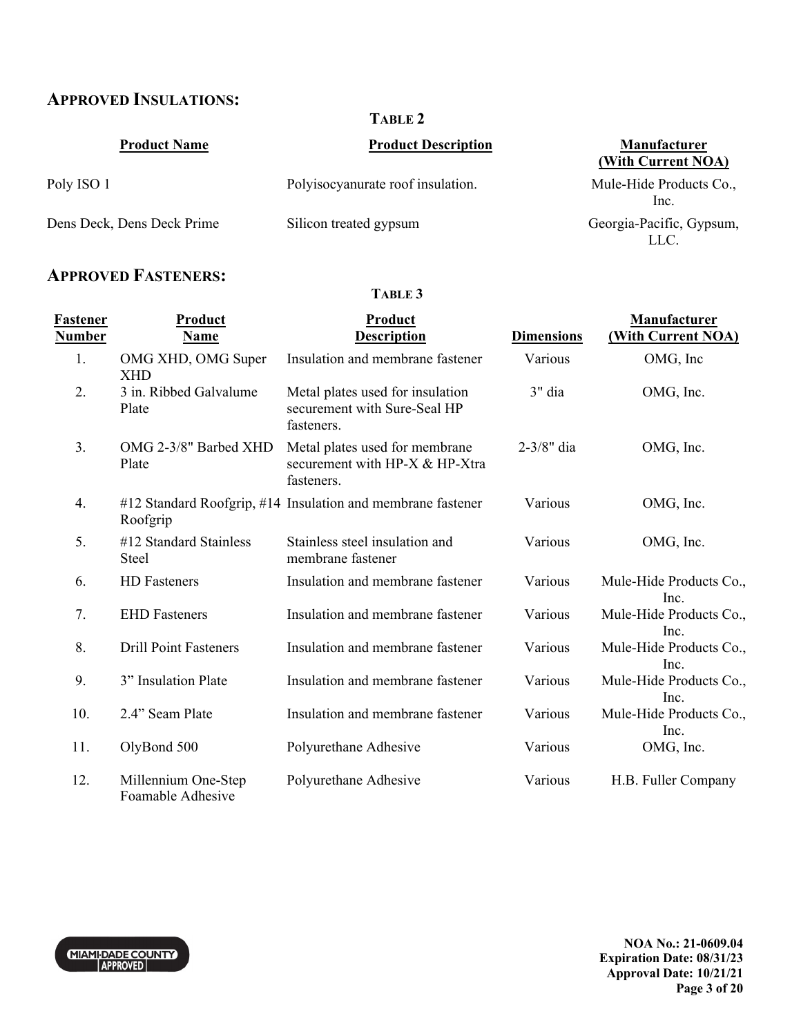## **APPROVED INSULATIONS:**

**TABLE 2** 

| <b>Product Name</b>        | <b>Product Description</b>        | Manufacturer<br>(With Current NOA) |
|----------------------------|-----------------------------------|------------------------------------|
| Poly ISO 1                 | Polyisocyanurate roof insulation. | Mule-Hide Products Co.,<br>Inc.    |
| Dens Deck, Dens Deck Prime | Silicon treated gypsum            | Georgia-Pacific, Gypsum,<br>LLC.   |

# **APPROVED FASTENERS:**

#### **TABLE 3**

| <u>Fastener</u><br>Number | <b>Product</b><br>Name                   | <b>Product</b><br><b>Description</b>                                           | <b>Dimensions</b> | Manufacturer<br>(With Current NOA) |
|---------------------------|------------------------------------------|--------------------------------------------------------------------------------|-------------------|------------------------------------|
| 1.                        | OMG XHD, OMG Super<br><b>XHD</b>         | Insulation and membrane fastener                                               | Various           | OMG, Inc                           |
| 2.                        | 3 in. Ribbed Galvalume<br>Plate          | Metal plates used for insulation<br>securement with Sure-Seal HP<br>fasteners. | 3" dia            | OMG, Inc.                          |
| 3.                        | OMG 2-3/8" Barbed XHD<br>Plate           | Metal plates used for membrane<br>securement with HP-X & HP-Xtra<br>fasteners. | 2-3/8" dia        | OMG, Inc.                          |
| 4.                        | Roofgrip                                 | #12 Standard Roofgrip, #14 Insulation and membrane fastener                    | Various           | OMG, Inc.                          |
| 5.                        | #12 Standard Stainless<br><b>Steel</b>   | Stainless steel insulation and<br>membrane fastener                            | Various           | OMG, Inc.                          |
| 6.                        | HD Fasteners                             | Insulation and membrane fastener                                               | Various           | Mule-Hide Products Co.,<br>Inc.    |
| 7.                        | <b>EHD</b> Fasteners                     | Insulation and membrane fastener                                               | Various           | Mule-Hide Products Co.,<br>Inc.    |
| 8.                        | <b>Drill Point Fasteners</b>             | Insulation and membrane fastener                                               | Various           | Mule-Hide Products Co.,<br>Inc.    |
| 9.                        | 3" Insulation Plate                      | Insulation and membrane fastener                                               | Various           | Mule-Hide Products Co.,<br>Inc.    |
| 10.                       | 2.4" Seam Plate                          | Insulation and membrane fastener                                               | Various           | Mule-Hide Products Co.,<br>Inc.    |
| 11.                       | OlyBond 500                              | Polyurethane Adhesive                                                          | Various           | OMG, Inc.                          |
| 12.                       | Millennium One-Step<br>Foamable Adhesive | Polyurethane Adhesive                                                          | Various           | H.B. Fuller Company                |

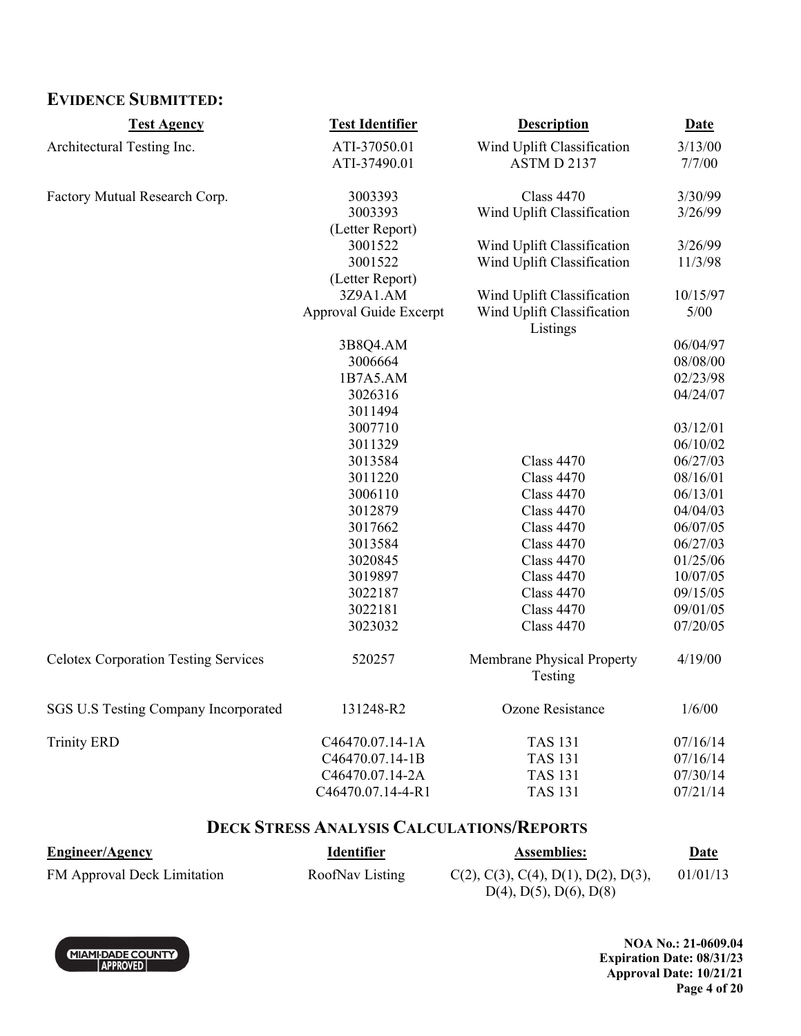# **EVIDENCE SUBMITTED:**

| <b>Test Agency</b>                          | <b>Test Identifier</b> | <b>Description</b>                     | <b>Date</b> |
|---------------------------------------------|------------------------|----------------------------------------|-------------|
| Architectural Testing Inc.                  | ATI-37050.01           | Wind Uplift Classification             | 3/13/00     |
|                                             | ATI-37490.01           | ASTM D 2137                            | 7/7/00      |
| Factory Mutual Research Corp.               | 3003393                | <b>Class 4470</b>                      | 3/30/99     |
|                                             | 3003393                | Wind Uplift Classification             | 3/26/99     |
|                                             | (Letter Report)        |                                        |             |
|                                             | 3001522                | Wind Uplift Classification             | 3/26/99     |
|                                             | 3001522                | Wind Uplift Classification             | 11/3/98     |
|                                             | (Letter Report)        |                                        |             |
|                                             | 3Z9A1.AM               | Wind Uplift Classification             | 10/15/97    |
|                                             | Approval Guide Excerpt | Wind Uplift Classification<br>Listings | 5/00        |
|                                             | 3B8Q4.AM               |                                        | 06/04/97    |
|                                             | 3006664                |                                        | 08/08/00    |
|                                             | 1B7A5.AM               |                                        | 02/23/98    |
|                                             | 3026316                |                                        | 04/24/07    |
|                                             | 3011494                |                                        |             |
|                                             | 3007710                |                                        | 03/12/01    |
|                                             | 3011329                |                                        | 06/10/02    |
|                                             | 3013584                | <b>Class 4470</b>                      | 06/27/03    |
|                                             | 3011220                | <b>Class 4470</b>                      | 08/16/01    |
|                                             | 3006110                | <b>Class 4470</b>                      | 06/13/01    |
|                                             | 3012879                | <b>Class 4470</b>                      | 04/04/03    |
|                                             | 3017662                | <b>Class 4470</b>                      | 06/07/05    |
|                                             | 3013584                | <b>Class 4470</b>                      | 06/27/03    |
|                                             | 3020845                | <b>Class 4470</b>                      | 01/25/06    |
|                                             | 3019897                | <b>Class 4470</b>                      | 10/07/05    |
|                                             | 3022187                | <b>Class 4470</b>                      | 09/15/05    |
|                                             | 3022181                | <b>Class 4470</b>                      | 09/01/05    |
|                                             | 3023032                | <b>Class 4470</b>                      | 07/20/05    |
| <b>Celotex Corporation Testing Services</b> | 520257                 | Membrane Physical Property<br>Testing  | 4/19/00     |
| SGS U.S Testing Company Incorporated        | 131248-R2              | Ozone Resistance                       | 1/6/00      |
| <b>Trinity ERD</b>                          | C46470.07.14-1A        | <b>TAS 131</b>                         | 07/16/14    |
|                                             | C46470.07.14-1B        | <b>TAS 131</b>                         | 07/16/14    |
|                                             | C46470.07.14-2A        | <b>TAS 131</b>                         | 07/30/14    |
|                                             | C46470.07.14-4-R1      | <b>TAS 131</b>                         | 07/21/14    |

### **DECK STRESS ANALYSIS CALCULATIONS/REPORTS**

| <b>Engineer/Agency</b>      | <b>Identifier</b> | <b>Assemblies:</b>                  | <u>Date</u> |
|-----------------------------|-------------------|-------------------------------------|-------------|
| FM Approval Deck Limitation | RoofNav Listing   | C(2), C(3), C(4), D(1), D(2), D(3), | 01/01/13    |
|                             |                   | $D(4)$ , $D(5)$ , $D(6)$ , $D(8)$   |             |



**NOA No.: 21-0609.04 Expiration Date: 08/31/23 Approval Date: 10/21/21 Page 4 of 20**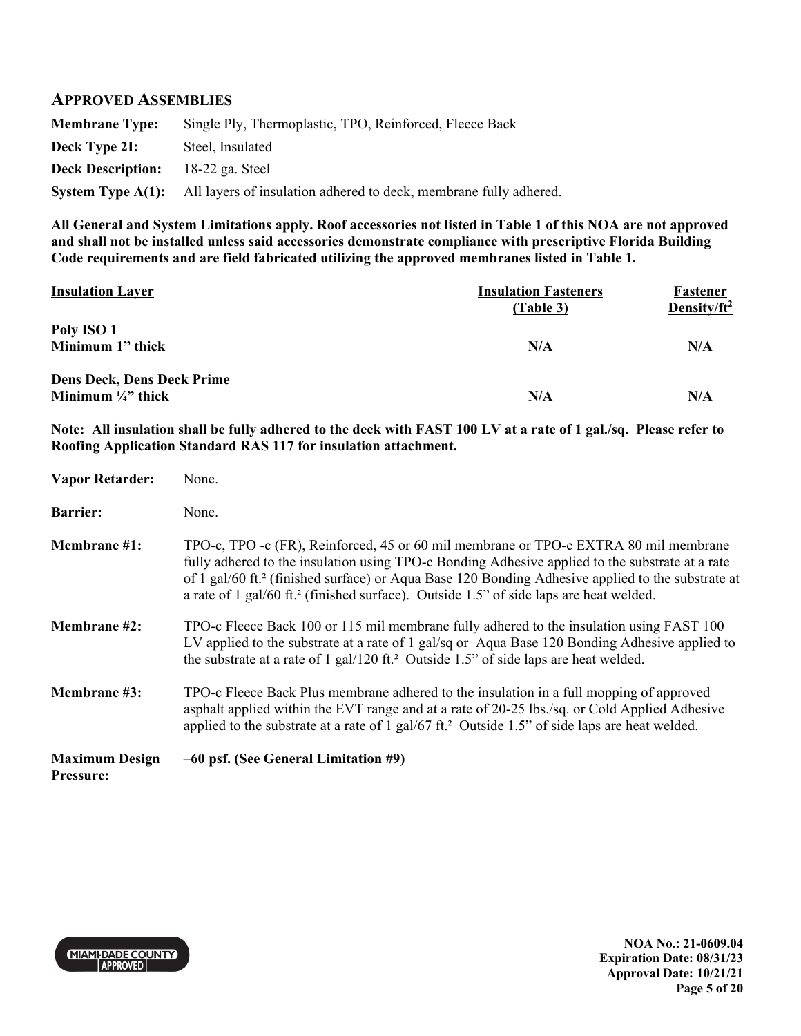#### **APPROVED ASSEMBLIES**

**Membrane Type:** Single Ply, Thermoplastic, TPO, Reinforced, Fleece Back **Deck Type 2I:** Steel, Insulated **Deck Description:** 18-22 ga. Steel **System Type A(1):** All layers of insulation adhered to deck, membrane fully adhered.

**All General and System Limitations apply. Roof accessories not listed in Table 1 of this NOA are not approved and shall not be installed unless said accessories demonstrate compliance with prescriptive Florida Building Code requirements and are field fabricated utilizing the approved membranes listed in Table 1.** 

| <b>Insulation Layer</b>           | <b>Insulation Fasteners</b><br>(Table 3) | Fastener<br>Density/ $ft^2$ |
|-----------------------------------|------------------------------------------|-----------------------------|
| Poly ISO 1<br>Minimum 1" thick    | N/A                                      | N/A                         |
| <b>Dens Deck, Dens Deck Prime</b> |                                          |                             |
| Minimum $\frac{1}{4}$ thick       | N/A                                      | N/A                         |

**Note: All insulation shall be fully adhered to the deck with FAST 100 LV at a rate of 1 gal./sq. Please refer to Roofing Application Standard RAS 117 for insulation attachment.** 

| <b>Vapor Retarder:</b>                    | None.                                                                                                                                                                                                                                                                                                                                                                                                          |
|-------------------------------------------|----------------------------------------------------------------------------------------------------------------------------------------------------------------------------------------------------------------------------------------------------------------------------------------------------------------------------------------------------------------------------------------------------------------|
| <b>Barrier:</b>                           | None.                                                                                                                                                                                                                                                                                                                                                                                                          |
| Membrane #1:                              | TPO-c, TPO -c (FR), Reinforced, 45 or 60 mil membrane or TPO-c EXTRA 80 mil membrane<br>fully adhered to the insulation using TPO-c Bonding Adhesive applied to the substrate at a rate<br>of 1 gal/60 ft. <sup>2</sup> (finished surface) or Aqua Base 120 Bonding Adhesive applied to the substrate at<br>a rate of 1 gal/60 ft. <sup>2</sup> (finished surface). Outside 1.5" of side laps are heat welded. |
| <b>Membrane</b> #2:                       | TPO-c Fleece Back 100 or 115 mil membrane fully adhered to the insulation using FAST 100<br>LV applied to the substrate at a rate of 1 gal/sq or Aqua Base 120 Bonding Adhesive applied to<br>the substrate at a rate of 1 gal/120 ft. <sup>2</sup> Outside 1.5" of side laps are heat welded.                                                                                                                 |
| Membrane #3:                              | TPO-c Fleece Back Plus membrane adhered to the insulation in a full mopping of approved<br>asphalt applied within the EVT range and at a rate of 20-25 lbs./sq. or Cold Applied Adhesive<br>applied to the substrate at a rate of 1 gal/67 ft. <sup>2</sup> Outside 1.5" of side laps are heat welded.                                                                                                         |
| <b>Maximum Design</b><br><b>Pressure:</b> | -60 psf. (See General Limitation #9)                                                                                                                                                                                                                                                                                                                                                                           |



**NOA No.: 21-0609.04 Expiration Date: 08/31/23 Approval Date: 10/21/21 Page 5 of 20**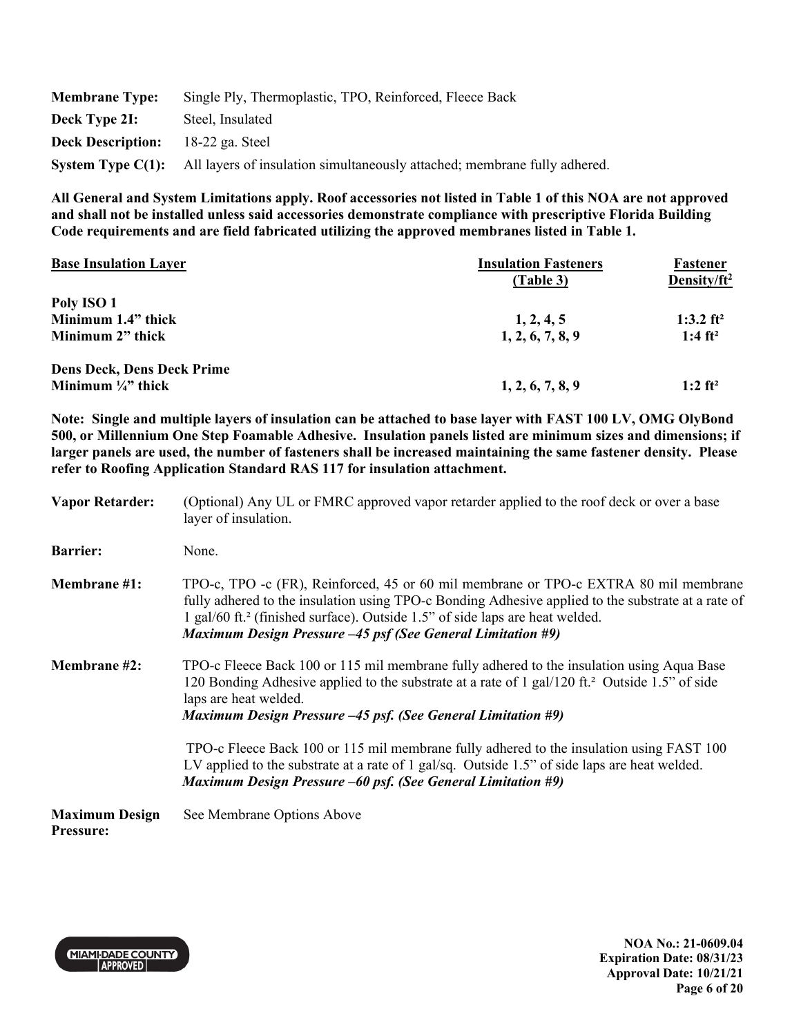| <b>Membrane Type:</b>    | Single Ply, Thermoplastic, TPO, Reinforced, Fleece Back                                            |
|--------------------------|----------------------------------------------------------------------------------------------------|
| Deck Type 2I:            | Steel, Insulated                                                                                   |
| <b>Deck Description:</b> | 18-22 ga. Steel                                                                                    |
|                          | <b>System Type C(1):</b> All layers of insulation simultaneously attached; membrane fully adhered. |

| <b>Base Insulation Layer</b>      | <b>Insulation Fasteners</b> | Fastener                |
|-----------------------------------|-----------------------------|-------------------------|
|                                   | (Table 3)                   | Density/ft <sup>2</sup> |
| Poly ISO 1                        |                             |                         |
| Minimum 1.4" thick                | 1, 2, 4, 5                  | 1:3.2 $ft^2$            |
| Minimum 2" thick                  | 1, 2, 6, 7, 8, 9            | 1:4 ft <sup>2</sup>     |
| <b>Dens Deck, Dens Deck Prime</b> |                             |                         |
| Minimum $\frac{1}{4}$ thick       | 1, 2, 6, 7, 8, 9            | $1:2$ ft <sup>2</sup>   |

**Note: Single and multiple layers of insulation can be attached to base layer with FAST 100 LV, OMG OlyBond 500, or Millennium One Step Foamable Adhesive. Insulation panels listed are minimum sizes and dimensions; if larger panels are used, the number of fasteners shall be increased maintaining the same fastener density. Please refer to Roofing Application Standard RAS 117 for insulation attachment.** 

| <b>Vapor Retarder:</b>                    | (Optional) Any UL or FMRC approved vapor retarder applied to the roof deck or over a base<br>layer of insulation.                                                                                                                                                                                                                                            |
|-------------------------------------------|--------------------------------------------------------------------------------------------------------------------------------------------------------------------------------------------------------------------------------------------------------------------------------------------------------------------------------------------------------------|
| <b>Barrier:</b>                           | None.                                                                                                                                                                                                                                                                                                                                                        |
| <b>Membrane</b> #1:                       | TPO-c, TPO -c (FR), Reinforced, 45 or 60 mil membrane or TPO-c EXTRA 80 mil membrane<br>fully adhered to the insulation using TPO-c Bonding Adhesive applied to the substrate at a rate of<br>1 gal/60 ft. <sup>2</sup> (finished surface). Outside 1.5" of side laps are heat welded.<br><b>Maximum Design Pressure -45 psf (See General Limitation #9)</b> |
| <b>Membrane</b> #2:                       | TPO-c Fleece Back 100 or 115 mil membrane fully adhered to the insulation using Aqua Base<br>120 Bonding Adhesive applied to the substrate at a rate of 1 gal/120 ft. <sup>2</sup> Outside 1.5" of side<br>laps are heat welded.<br><b>Maximum Design Pressure -45 psf. (See General Limitation #9)</b>                                                      |
|                                           | TPO-c Fleece Back 100 or 115 mil membrane fully adhered to the insulation using FAST 100<br>LV applied to the substrate at a rate of 1 gal/sq. Outside 1.5" of side laps are heat welded.<br><b>Maximum Design Pressure –60 psf. (See General Limitation #9)</b>                                                                                             |
| <b>Maximum Design</b><br><b>Pressure:</b> | See Membrane Options Above                                                                                                                                                                                                                                                                                                                                   |



**NOA No.: 21-0609.04 Expiration Date: 08/31/23 Approval Date: 10/21/21 Page 6 of 20**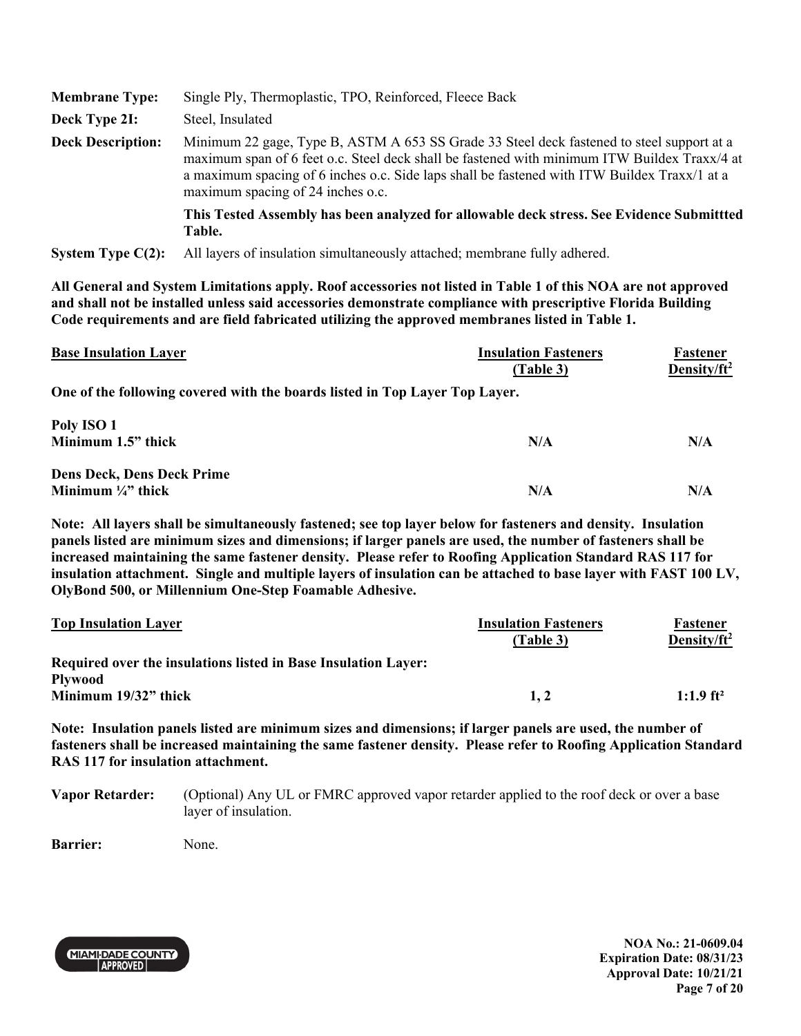| <b>Membrane Type:</b>    | Single Ply, Thermoplastic, TPO, Reinforced, Fleece Back                                                                                                                                                                                                                                                                        |
|--------------------------|--------------------------------------------------------------------------------------------------------------------------------------------------------------------------------------------------------------------------------------------------------------------------------------------------------------------------------|
| Deck Type 2I:            | Steel, Insulated                                                                                                                                                                                                                                                                                                               |
| <b>Deck Description:</b> | Minimum 22 gage, Type B, ASTM A 653 SS Grade 33 Steel deck fastened to steel support at a<br>maximum span of 6 feet o.c. Steel deck shall be fastened with minimum ITW Buildex Traxx/4 at<br>a maximum spacing of 6 inches o.c. Side laps shall be fastened with ITW Buildex Traxx/1 at a<br>maximum spacing of 24 inches o.c. |
|                          | This Tested Assembly has been analyzed for allowable deck stress. See Evidence Submitted<br>Table.                                                                                                                                                                                                                             |
| System Type $C(2)$ :     | All layers of insulation simultaneously attached; membrane fully adhered.                                                                                                                                                                                                                                                      |

| <b>Base Insulation Layer</b>                                                | <b>Insulation Fasteners</b><br>(Table 3) | Fastener<br>Density/ft <sup>2</sup> |
|-----------------------------------------------------------------------------|------------------------------------------|-------------------------------------|
| One of the following covered with the boards listed in Top Layer Top Layer. |                                          |                                     |
| Poly ISO 1                                                                  |                                          |                                     |
| Minimum 1.5" thick                                                          | N/A                                      | N/A                                 |
| <b>Dens Deck, Dens Deck Prime</b>                                           |                                          |                                     |
| Minimum $\frac{1}{4}$ " thick                                               | N/A                                      | N/A                                 |

**Note: All layers shall be simultaneously fastened; see top layer below for fasteners and density. Insulation panels listed are minimum sizes and dimensions; if larger panels are used, the number of fasteners shall be increased maintaining the same fastener density. Please refer to Roofing Application Standard RAS 117 for insulation attachment. Single and multiple layers of insulation can be attached to base layer with FAST 100 LV, OlyBond 500, or Millennium One-Step Foamable Adhesive.** 

| <b>Top Insulation Layer</b>                                    | <b>Insulation Fasteners</b> | Fastener                |
|----------------------------------------------------------------|-----------------------------|-------------------------|
|                                                                | (Table 3)                   | Density/ft <sup>2</sup> |
| Required over the insulations listed in Base Insulation Layer: |                             |                         |
| <b>Plywood</b>                                                 |                             |                         |
| Minimum $19/32$ " thick                                        | 1.2                         | $1:1.9$ ft <sup>2</sup> |

**Note: Insulation panels listed are minimum sizes and dimensions; if larger panels are used, the number of fasteners shall be increased maintaining the same fastener density. Please refer to Roofing Application Standard RAS 117 for insulation attachment.** 

**Vapor Retarder:** (Optional) Any UL or FMRC approved vapor retarder applied to the roof deck or over a base layer of insulation.

**Barrier:** None.



**NOA No.: 21-0609.04 Expiration Date: 08/31/23 Approval Date: 10/21/21 Page 7 of 20**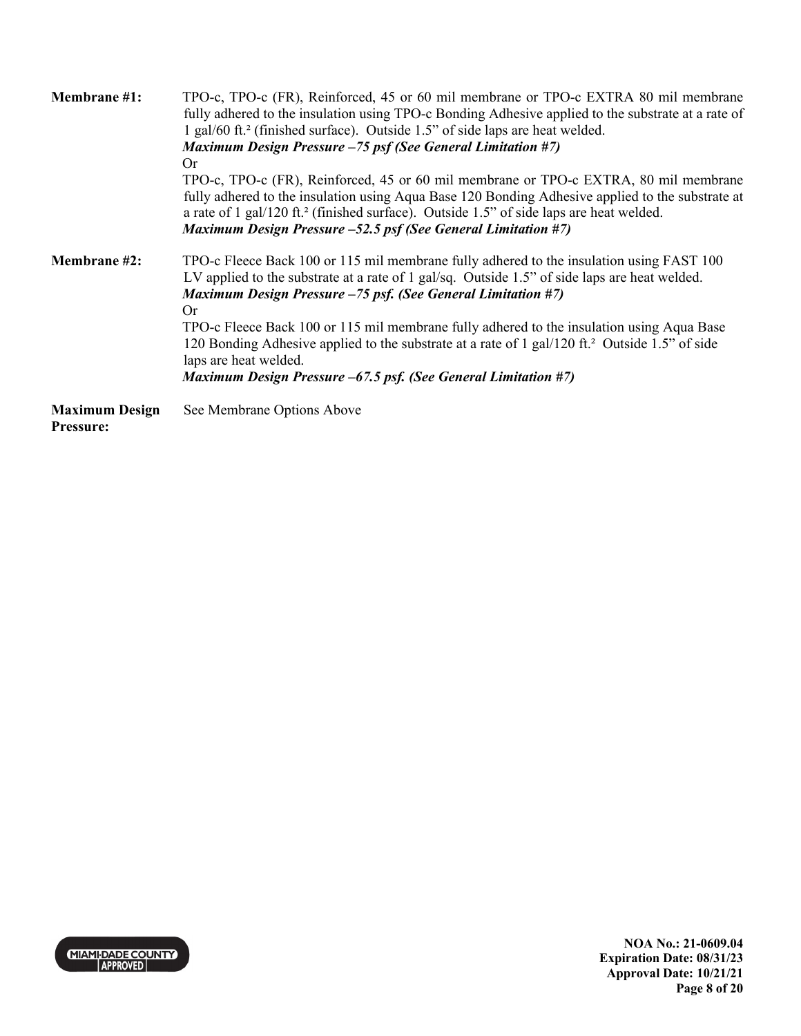| <b>Membrane</b> #1:                       | TPO-c, TPO-c (FR), Reinforced, 45 or 60 mil membrane or TPO-c EXTRA 80 mil membrane<br>fully adhered to the insulation using TPO-c Bonding Adhesive applied to the substrate at a rate of<br>1 gal/60 ft. <sup>2</sup> (finished surface). Outside 1.5" of side laps are heat welded.<br><b>Maximum Design Pressure -75 psf (See General Limitation #7)</b>                          |  |  |
|-------------------------------------------|--------------------------------------------------------------------------------------------------------------------------------------------------------------------------------------------------------------------------------------------------------------------------------------------------------------------------------------------------------------------------------------|--|--|
|                                           | <b>Or</b><br>TPO-c, TPO-c (FR), Reinforced, 45 or 60 mil membrane or TPO-c EXTRA, 80 mil membrane<br>fully adhered to the insulation using Aqua Base 120 Bonding Adhesive applied to the substrate at<br>a rate of 1 gal/120 ft. <sup>2</sup> (finished surface). Outside 1.5" of side laps are heat welded.<br><b>Maximum Design Pressure -52.5 psf (See General Limitation #7)</b> |  |  |
| <b>Membrane</b> #2:                       | TPO-c Fleece Back 100 or 115 mil membrane fully adhered to the insulation using FAST 100<br>LV applied to the substrate at a rate of 1 gal/sq. Outside 1.5" of side laps are heat welded.<br>Maximum Design Pressure $-75$ psf. (See General Limitation #7)<br>Or                                                                                                                    |  |  |
|                                           | TPO-c Fleece Back 100 or 115 mil membrane fully adhered to the insulation using Aqua Base<br>120 Bonding Adhesive applied to the substrate at a rate of 1 gal/120 ft. <sup>2</sup> Outside 1.5" of side<br>laps are heat welded.                                                                                                                                                     |  |  |
|                                           | Maximum Design Pressure –67.5 psf. (See General Limitation #7)                                                                                                                                                                                                                                                                                                                       |  |  |
| <b>Maximum Design</b><br><b>Pressure:</b> | See Membrane Options Above                                                                                                                                                                                                                                                                                                                                                           |  |  |

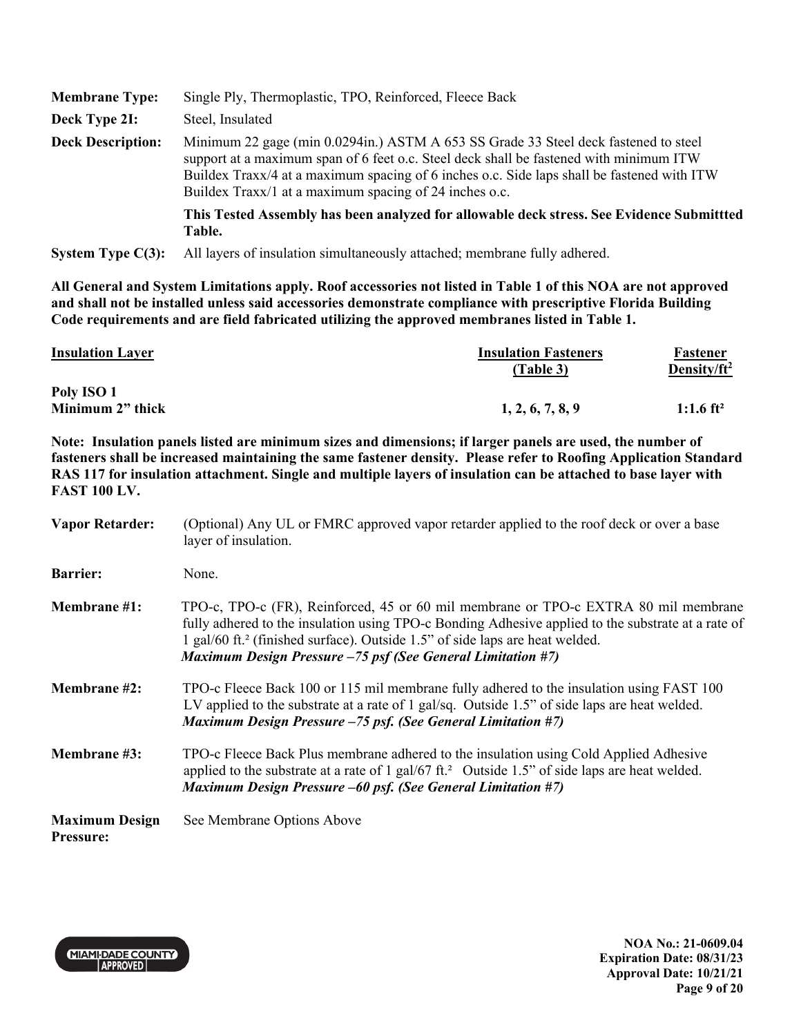| <b>Membrane Type:</b>    | Single Ply, Thermoplastic, TPO, Reinforced, Fleece Back                                                                                                                                                                                                                                                                               |
|--------------------------|---------------------------------------------------------------------------------------------------------------------------------------------------------------------------------------------------------------------------------------------------------------------------------------------------------------------------------------|
| Deck Type 2I:            | Steel, Insulated                                                                                                                                                                                                                                                                                                                      |
| <b>Deck Description:</b> | Minimum 22 gage (min 0.0294in.) ASTM A 653 SS Grade 33 Steel deck fastened to steel<br>support at a maximum span of 6 feet o.c. Steel deck shall be fastened with minimum ITW<br>Buildex Traxx/4 at a maximum spacing of 6 inches o.c. Side laps shall be fastened with ITW<br>Buildex Traxx/1 at a maximum spacing of 24 inches o.c. |
|                          | This Tested Assembly has been analyzed for allowable deck stress. See Evidence Submitted<br>Table.                                                                                                                                                                                                                                    |
| System Type $C(3)$ :     | All layers of insulation simultaneously attached; membrane fully adhered.                                                                                                                                                                                                                                                             |

| <b>Insulation Layer</b> | <b>Insulation Fasteners</b> | Fastener              |
|-------------------------|-----------------------------|-----------------------|
|                         | (Table 3)                   | Density/ $ft^2$       |
| Poly ISO 1              |                             |                       |
| Minimum 2" thick        | 1, 2, 6, 7, 8, 9            | 1:1.6 ft <sup>2</sup> |

**Note: Insulation panels listed are minimum sizes and dimensions; if larger panels are used, the number of fasteners shall be increased maintaining the same fastener density. Please refer to Roofing Application Standard RAS 117 for insulation attachment. Single and multiple layers of insulation can be attached to base layer with FAST 100 LV.** 

| <b>Vapor Retarder:</b>                    | (Optional) Any UL or FMRC approved vapor retarder applied to the roof deck or over a base<br>layer of insulation.                                                                                                                                                                                                                                           |
|-------------------------------------------|-------------------------------------------------------------------------------------------------------------------------------------------------------------------------------------------------------------------------------------------------------------------------------------------------------------------------------------------------------------|
| <b>Barrier:</b>                           | None.                                                                                                                                                                                                                                                                                                                                                       |
| <b>Membrane</b> #1:                       | TPO-c, TPO-c (FR), Reinforced, 45 or 60 mil membrane or TPO-c EXTRA 80 mil membrane<br>fully adhered to the insulation using TPO-c Bonding Adhesive applied to the substrate at a rate of<br>1 gal/60 ft. <sup>2</sup> (finished surface). Outside 1.5" of side laps are heat welded.<br><b>Maximum Design Pressure -75 psf (See General Limitation #7)</b> |
| <b>Membrane</b> #2:                       | TPO-c Fleece Back 100 or 115 mil membrane fully adhered to the insulation using FAST 100<br>LV applied to the substrate at a rate of 1 gal/sq. Outside 1.5" of side laps are heat welded.<br><b>Maximum Design Pressure -75 psf. (See General Limitation #7)</b>                                                                                            |
| <b>Membrane</b> #3:                       | TPO-c Fleece Back Plus membrane adhered to the insulation using Cold Applied Adhesive<br>applied to the substrate at a rate of 1 gal/67 ft. <sup>2</sup> Outside 1.5" of side laps are heat welded.<br><b>Maximum Design Pressure –60 psf. (See General Limitation #7)</b>                                                                                  |
| <b>Maximum Design</b><br><b>Pressure:</b> | See Membrane Options Above                                                                                                                                                                                                                                                                                                                                  |



**NOA No.: 21-0609.04 Expiration Date: 08/31/23 Approval Date: 10/21/21 Page 9 of 20**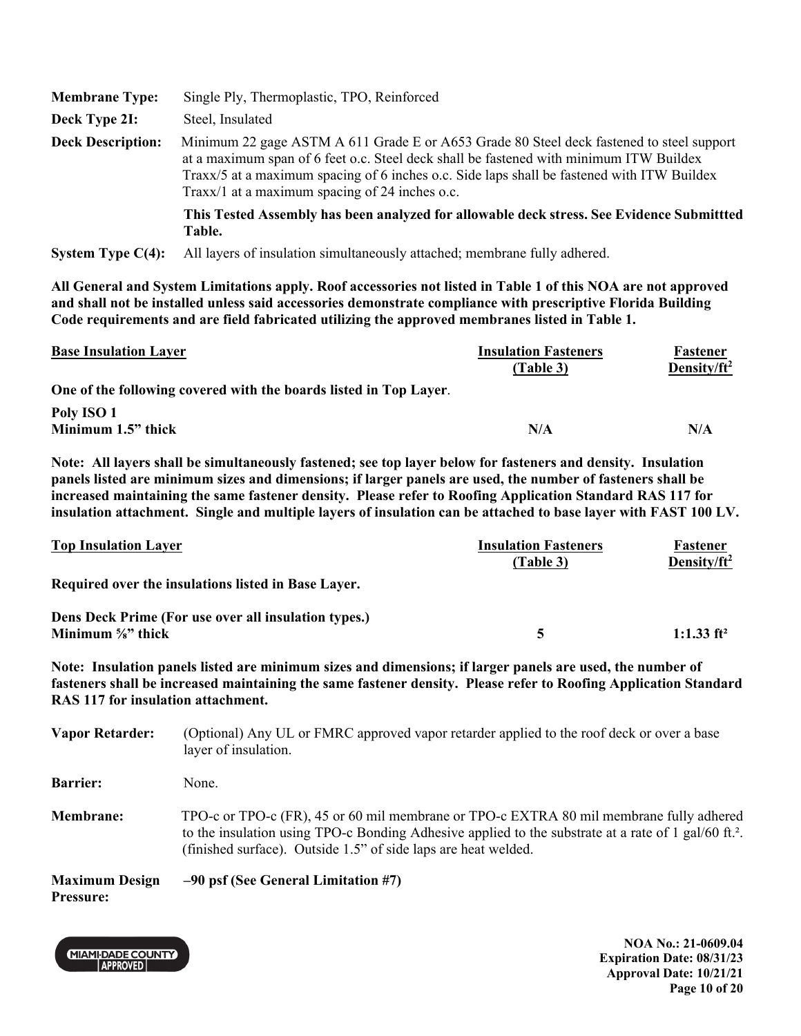| <b>Membrane Type:</b>    | Single Ply, Thermoplastic, TPO, Reinforced                                                                                                                                                                                                                                                                                         |
|--------------------------|------------------------------------------------------------------------------------------------------------------------------------------------------------------------------------------------------------------------------------------------------------------------------------------------------------------------------------|
| Deck Type 2I:            | Steel, Insulated                                                                                                                                                                                                                                                                                                                   |
| <b>Deck Description:</b> | Minimum 22 gage ASTM A 611 Grade E or A653 Grade 80 Steel deck fastened to steel support<br>at a maximum span of 6 feet o.c. Steel deck shall be fastened with minimum ITW Buildex<br>Traxx/5 at a maximum spacing of 6 inches o.c. Side laps shall be fastened with ITW Buildex<br>Traxx/1 at a maximum spacing of 24 inches o.c. |
|                          | This Tested Assembly has been analyzed for allowable deck stress. See Evidence Submittted<br>Table.                                                                                                                                                                                                                                |
| System Type $C(4)$ :     | All layers of insulation simultaneously attached; membrane fully adhered.                                                                                                                                                                                                                                                          |

| <b>Base Insulation Layer</b>                                      | <b>Insulation Fasteners</b><br>(Table 3) | Fastener<br>Density/ $ft^2$ |
|-------------------------------------------------------------------|------------------------------------------|-----------------------------|
| One of the following covered with the boards listed in Top Layer. |                                          |                             |
| Poly ISO 1                                                        |                                          |                             |
| Minimum 1.5" thick                                                | N/A                                      | N/A                         |

**Note: All layers shall be simultaneously fastened; see top layer below for fasteners and density. Insulation panels listed are minimum sizes and dimensions; if larger panels are used, the number of fasteners shall be increased maintaining the same fastener density. Please refer to Roofing Application Standard RAS 117 for insulation attachment. Single and multiple layers of insulation can be attached to base layer with FAST 100 LV.**

| <b>Top Insulation Layer</b>                          | <b>Insulation Fasteners</b><br>(Table 3) | Fastener<br>Density/ $ft^2$ |
|------------------------------------------------------|------------------------------------------|-----------------------------|
| Required over the insulations listed in Base Layer.  |                                          |                             |
| Dens Deck Prime (For use over all insulation types.) |                                          |                             |
| Minimum $\frac{5}{8}$ " thick                        |                                          | 1:1.33 $ft^2$               |

**Note: Insulation panels listed are minimum sizes and dimensions; if larger panels are used, the number of fasteners shall be increased maintaining the same fastener density. Please refer to Roofing Application Standard RAS 117 for insulation attachment.** 

| <b>Vapor Retarder:</b>                    | (Optional) Any UL or FMRC approved vapor retarder applied to the roof deck or over a base<br>layer of insulation.                                                                                                                                                             |
|-------------------------------------------|-------------------------------------------------------------------------------------------------------------------------------------------------------------------------------------------------------------------------------------------------------------------------------|
| <b>Barrier:</b>                           | None.                                                                                                                                                                                                                                                                         |
| <b>Membrane:</b>                          | TPO-c or TPO-c (FR), 45 or 60 mil membrane or TPO-c EXTRA 80 mil membrane fully adhered<br>to the insulation using TPO-c Bonding Adhesive applied to the substrate at a rate of 1 gal/60 ft. <sup>2</sup> .<br>(finished surface). Outside 1.5" of side laps are heat welded. |
| <b>Maximum Design</b><br><b>Pressure:</b> | $-90$ psf (See General Limitation #7)                                                                                                                                                                                                                                         |

**MIAMI-DADE COUNTY** APPROVED

**NOA No.: 21-0609.04 Expiration Date: 08/31/23 Approval Date: 10/21/21 Page 10 of 20**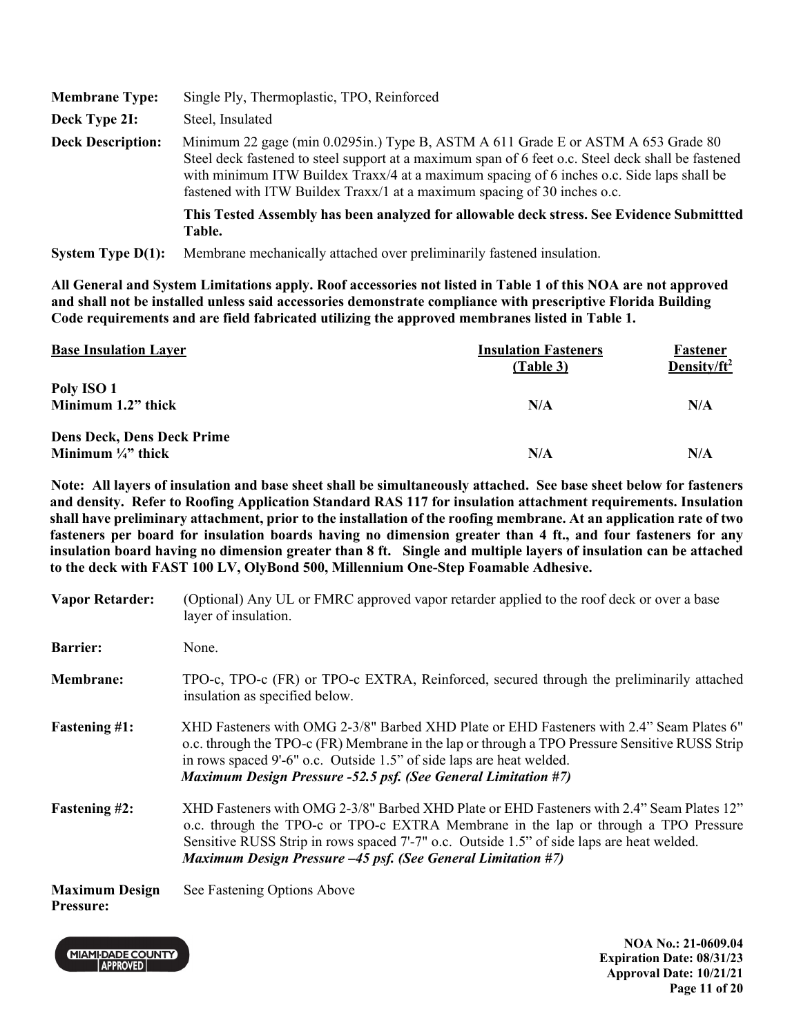| <b>Membrane Type:</b>    | Single Ply, Thermoplastic, TPO, Reinforced                                                                                                                                                                                                                                                                                                                       |
|--------------------------|------------------------------------------------------------------------------------------------------------------------------------------------------------------------------------------------------------------------------------------------------------------------------------------------------------------------------------------------------------------|
| Deck Type 2I:            | Steel, Insulated                                                                                                                                                                                                                                                                                                                                                 |
| <b>Deck Description:</b> | Minimum 22 gage (min 0.0295in.) Type B, ASTM A 611 Grade E or ASTM A 653 Grade 80<br>Steel deck fastened to steel support at a maximum span of 6 feet o.c. Steel deck shall be fastened<br>with minimum ITW Buildex Traxx/4 at a maximum spacing of 6 inches o.c. Side laps shall be<br>fastened with ITW Buildex Traxx/1 at a maximum spacing of 30 inches o.c. |
|                          | This Tested Assembly has been analyzed for allowable deck stress. See Evidence Submittted<br>Table.                                                                                                                                                                                                                                                              |
| System Type $D(1)$ :     | Membrane mechanically attached over preliminarily fastened insulation.                                                                                                                                                                                                                                                                                           |

| <b>Base Insulation Layer</b>      | <b>Insulation Fasteners</b><br>(Table 3) | Fastener<br>Density/ $ft^2$ |
|-----------------------------------|------------------------------------------|-----------------------------|
| Poly ISO 1                        |                                          |                             |
| Minimum 1.2" thick                | N/A                                      | N/A                         |
| <b>Dens Deck, Dens Deck Prime</b> |                                          |                             |
| Minimum $\frac{1}{4}$ thick       | N/A                                      | N/A                         |

**Note: All layers of insulation and base sheet shall be simultaneously attached. See base sheet below for fasteners and density. Refer to Roofing Application Standard RAS 117 for insulation attachment requirements. Insulation shall have preliminary attachment, prior to the installation of the roofing membrane. At an application rate of two fasteners per board for insulation boards having no dimension greater than 4 ft., and four fasteners for any insulation board having no dimension greater than 8 ft. Single and multiple layers of insulation can be attached to the deck with FAST 100 LV, OlyBond 500, Millennium One-Step Foamable Adhesive.** 

| <b>Vapor Retarder:</b>                    | (Optional) Any UL or FMRC approved vapor retarder applied to the roof deck or over a base<br>layer of insulation.                                                                                                                                                                                                                                    |
|-------------------------------------------|------------------------------------------------------------------------------------------------------------------------------------------------------------------------------------------------------------------------------------------------------------------------------------------------------------------------------------------------------|
| <b>Barrier:</b>                           | None.                                                                                                                                                                                                                                                                                                                                                |
| <b>Membrane:</b>                          | TPO-c, TPO-c (FR) or TPO-c EXTRA, Reinforced, secured through the preliminarily attached<br>insulation as specified below.                                                                                                                                                                                                                           |
| <b>Fastening #1:</b>                      | XHD Fasteners with OMG 2-3/8" Barbed XHD Plate or EHD Fasteners with 2.4" Seam Plates 6"<br>o.c. through the TPO-c (FR) Membrane in the lap or through a TPO Pressure Sensitive RUSS Strip<br>in rows spaced 9'-6" o.c. Outside 1.5" of side laps are heat welded.<br><b>Maximum Design Pressure -52.5 psf. (See General Limitation #7)</b>          |
| <b>Fastening #2:</b>                      | XHD Fasteners with OMG 2-3/8" Barbed XHD Plate or EHD Fasteners with 2.4" Seam Plates 12"<br>o.c. through the TPO-c or TPO-c EXTRA Membrane in the lap or through a TPO Pressure<br>Sensitive RUSS Strip in rows spaced 7'-7" o.c. Outside 1.5" of side laps are heat welded.<br><b>Maximum Design Pressure -45 psf. (See General Limitation #7)</b> |
| <b>Maximum Design</b><br><b>Pressure:</b> | See Fastening Options Above                                                                                                                                                                                                                                                                                                                          |

**MIAMI-DADE COUNTY** APPROVED

**NOA No.: 21-0609.04 Expiration Date: 08/31/23 Approval Date: 10/21/21 Page 11 of 20**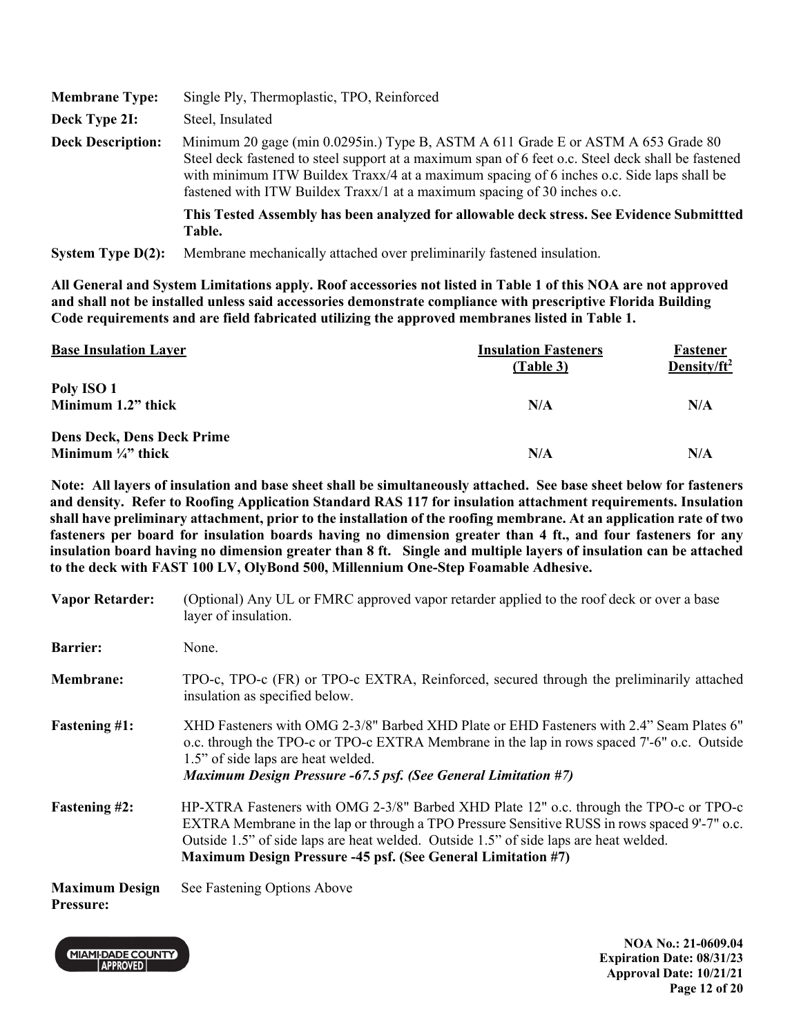| <b>Membrane Type:</b>    | Single Ply, Thermoplastic, TPO, Reinforced                                                                                                                                                                                                                                                                                                                       |  |
|--------------------------|------------------------------------------------------------------------------------------------------------------------------------------------------------------------------------------------------------------------------------------------------------------------------------------------------------------------------------------------------------------|--|
| Deck Type 2I:            | Steel, Insulated                                                                                                                                                                                                                                                                                                                                                 |  |
| <b>Deck Description:</b> | Minimum 20 gage (min 0.0295in.) Type B, ASTM A 611 Grade E or ASTM A 653 Grade 80<br>Steel deck fastened to steel support at a maximum span of 6 feet o.c. Steel deck shall be fastened<br>with minimum ITW Buildex Traxx/4 at a maximum spacing of 6 inches o.c. Side laps shall be<br>fastened with ITW Buildex Traxx/1 at a maximum spacing of 30 inches o.c. |  |
|                          | This Tested Assembly has been analyzed for allowable deck stress. See Evidence Submittted<br>Table.                                                                                                                                                                                                                                                              |  |
| System Type $D(2)$ :     | Membrane mechanically attached over preliminarily fastened insulation.                                                                                                                                                                                                                                                                                           |  |

| <b>Base Insulation Layer</b>                                     | <b>Insulation Fasteners</b><br>(Table 3) | Fastener<br>Density/ $ft^2$ |
|------------------------------------------------------------------|------------------------------------------|-----------------------------|
| Poly ISO 1<br>Minimum 1.2" thick                                 | N/A                                      | N/A                         |
| <b>Dens Deck, Dens Deck Prime</b><br>Minimum $\frac{1}{4}$ thick | N/A                                      | N/A                         |

**Note: All layers of insulation and base sheet shall be simultaneously attached. See base sheet below for fasteners and density. Refer to Roofing Application Standard RAS 117 for insulation attachment requirements. Insulation shall have preliminary attachment, prior to the installation of the roofing membrane. At an application rate of two fasteners per board for insulation boards having no dimension greater than 4 ft., and four fasteners for any insulation board having no dimension greater than 8 ft. Single and multiple layers of insulation can be attached to the deck with FAST 100 LV, OlyBond 500, Millennium One-Step Foamable Adhesive.** 

| <b>Vapor Retarder:</b>                    | (Optional) Any UL or FMRC approved vapor retarder applied to the roof deck or over a base<br>layer of insulation.                                                                                                                                                                                                                                      |
|-------------------------------------------|--------------------------------------------------------------------------------------------------------------------------------------------------------------------------------------------------------------------------------------------------------------------------------------------------------------------------------------------------------|
| <b>Barrier:</b>                           | None.                                                                                                                                                                                                                                                                                                                                                  |
| Membrane:                                 | TPO-c, TPO-c (FR) or TPO-c EXTRA, Reinforced, secured through the preliminarily attached<br>insulation as specified below.                                                                                                                                                                                                                             |
| <b>Fastening #1:</b>                      | XHD Fasteners with OMG 2-3/8" Barbed XHD Plate or EHD Fasteners with 2.4" Seam Plates 6"<br>o.c. through the TPO-c or TPO-c EXTRA Membrane in the lap in rows spaced 7'-6" o.c. Outside<br>1.5" of side laps are heat welded.<br><b>Maximum Design Pressure -67.5 psf. (See General Limitation #7)</b>                                                 |
| <b>Fastening #2:</b>                      | HP-XTRA Fasteners with OMG 2-3/8" Barbed XHD Plate 12" o.c. through the TPO-c or TPO-c<br>EXTRA Membrane in the lap or through a TPO Pressure Sensitive RUSS in rows spaced 9'-7" o.c.<br>Outside 1.5" of side laps are heat welded. Outside 1.5" of side laps are heat welded.<br><b>Maximum Design Pressure -45 psf. (See General Limitation #7)</b> |
| <b>Maximum Design</b><br><b>Pressure:</b> | See Fastening Options Above                                                                                                                                                                                                                                                                                                                            |

**MIAMI-DADE COUNTY** APPROVED

**NOA No.: 21-0609.04 Expiration Date: 08/31/23 Approval Date: 10/21/21 Page 12 of 20**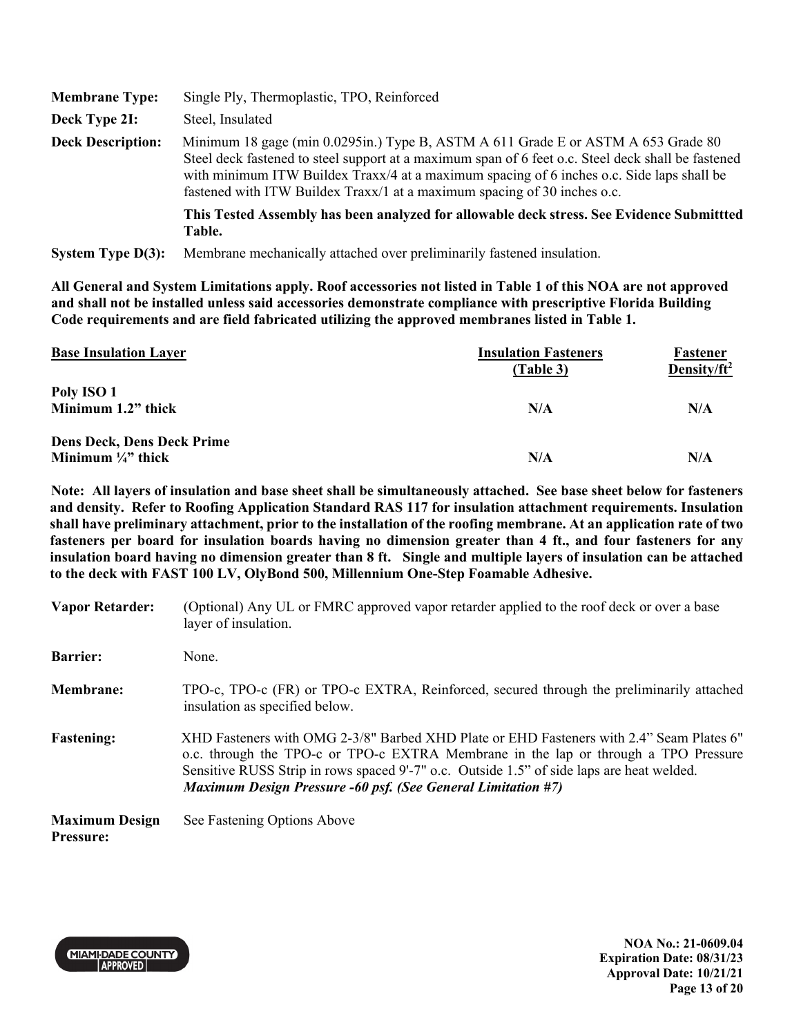| <b>Membrane Type:</b>    | Single Ply, Thermoplastic, TPO, Reinforced                                                                                                                                                                                                                                                                                                                       |  |
|--------------------------|------------------------------------------------------------------------------------------------------------------------------------------------------------------------------------------------------------------------------------------------------------------------------------------------------------------------------------------------------------------|--|
| Deck Type 2I:            | Steel, Insulated                                                                                                                                                                                                                                                                                                                                                 |  |
| <b>Deck Description:</b> | Minimum 18 gage (min 0.0295in.) Type B, ASTM A 611 Grade E or ASTM A 653 Grade 80<br>Steel deck fastened to steel support at a maximum span of 6 feet o.c. Steel deck shall be fastened<br>with minimum ITW Buildex Traxx/4 at a maximum spacing of 6 inches o.c. Side laps shall be<br>fastened with ITW Buildex Traxx/1 at a maximum spacing of 30 inches o.c. |  |
|                          | This Tested Assembly has been analyzed for allowable deck stress. See Evidence Submittted<br>Table.                                                                                                                                                                                                                                                              |  |
| System Type $D(3)$ :     | Membrane mechanically attached over preliminarily fastened insulation.                                                                                                                                                                                                                                                                                           |  |

| <b>Base Insulation Layer</b>      | <b>Insulation Fasteners</b><br>(Table 3) | Fastener<br>Density/ft <sup>2</sup> |
|-----------------------------------|------------------------------------------|-------------------------------------|
| Poly ISO 1                        |                                          |                                     |
| Minimum 1.2" thick                | N/A                                      | N/A                                 |
| <b>Dens Deck, Dens Deck Prime</b> |                                          |                                     |
| Minimum $\frac{1}{4}$ thick       | N/A                                      | N/A                                 |

**Note: All layers of insulation and base sheet shall be simultaneously attached. See base sheet below for fasteners and density. Refer to Roofing Application Standard RAS 117 for insulation attachment requirements. Insulation shall have preliminary attachment, prior to the installation of the roofing membrane. At an application rate of two fasteners per board for insulation boards having no dimension greater than 4 ft., and four fasteners for any insulation board having no dimension greater than 8 ft. Single and multiple layers of insulation can be attached to the deck with FAST 100 LV, OlyBond 500, Millennium One-Step Foamable Adhesive.** 

| <b>Vapor Retarder:</b>                    | (Optional) Any UL or FMRC approved vapor retarder applied to the roof deck or over a base<br>layer of insulation.                                                                                                                                                                                                                                   |
|-------------------------------------------|-----------------------------------------------------------------------------------------------------------------------------------------------------------------------------------------------------------------------------------------------------------------------------------------------------------------------------------------------------|
| <b>Barrier:</b>                           | None.                                                                                                                                                                                                                                                                                                                                               |
| <b>Membrane:</b>                          | TPO-c, TPO-c (FR) or TPO-c EXTRA, Reinforced, secured through the preliminarily attached<br>insulation as specified below.                                                                                                                                                                                                                          |
| <b>Fastening:</b>                         | XHD Fasteners with OMG 2-3/8" Barbed XHD Plate or EHD Fasteners with 2.4" Seam Plates 6"<br>o.c. through the TPO-c or TPO-c EXTRA Membrane in the lap or through a TPO Pressure<br>Sensitive RUSS Strip in rows spaced 9'-7" o.c. Outside 1.5" of side laps are heat welded.<br><b>Maximum Design Pressure -60 psf. (See General Limitation #7)</b> |
| <b>Maximum Design</b><br><b>Pressure:</b> | See Fastening Options Above                                                                                                                                                                                                                                                                                                                         |



**NOA No.: 21-0609.04 Expiration Date: 08/31/23 Approval Date: 10/21/21 Page 13 of 20**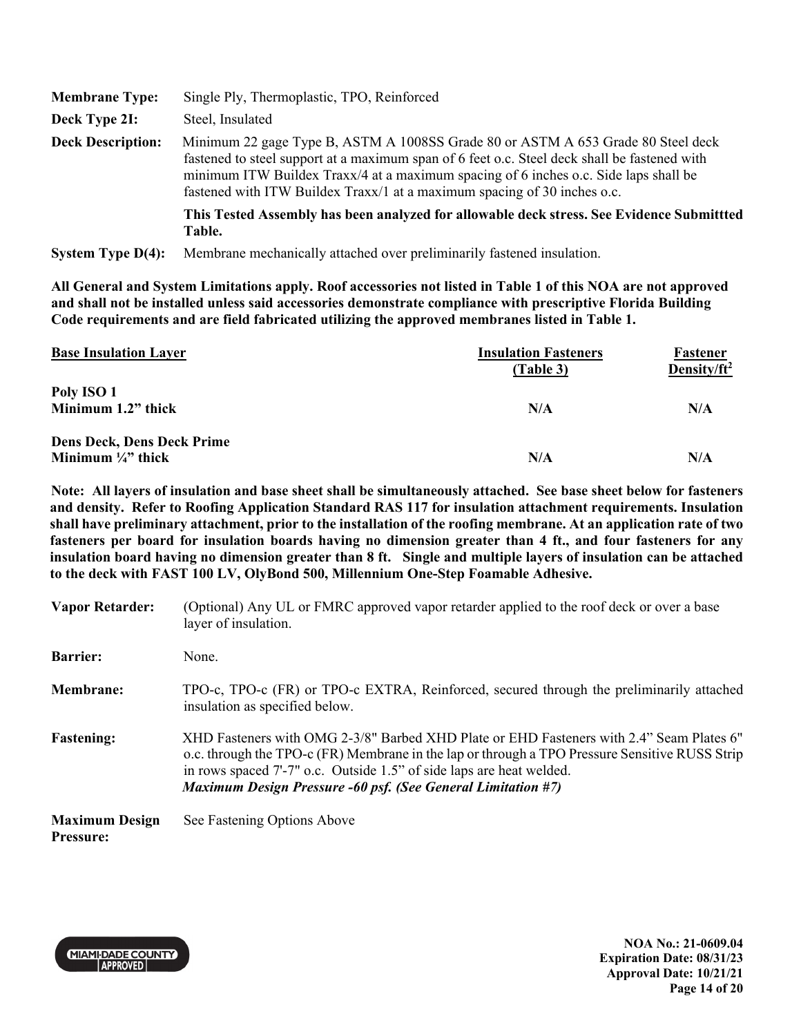| <b>Membrane Type:</b>    | Single Ply, Thermoplastic, TPO, Reinforced                                                                                                                                                                                                                                                                                                           |  |
|--------------------------|------------------------------------------------------------------------------------------------------------------------------------------------------------------------------------------------------------------------------------------------------------------------------------------------------------------------------------------------------|--|
| Deck Type 2I:            | Steel, Insulated                                                                                                                                                                                                                                                                                                                                     |  |
| <b>Deck Description:</b> | Minimum 22 gage Type B, ASTM A 1008SS Grade 80 or ASTM A 653 Grade 80 Steel deck<br>fastened to steel support at a maximum span of 6 feet o.c. Steel deck shall be fastened with<br>minimum ITW Buildex Traxx/4 at a maximum spacing of 6 inches o.c. Side laps shall be<br>fastened with ITW Buildex Traxx/1 at a maximum spacing of 30 inches o.c. |  |
|                          | This Tested Assembly has been analyzed for allowable deck stress. See Evidence Submittted<br>Table.                                                                                                                                                                                                                                                  |  |
| System Type $D(4)$ :     | Membrane mechanically attached over preliminarily fastened insulation.                                                                                                                                                                                                                                                                               |  |

| <b>Base Insulation Layer</b>      | <b>Insulation Fasteners</b><br>(Table 3) | Fastener<br>Density/ft <sup>2</sup> |
|-----------------------------------|------------------------------------------|-------------------------------------|
| Poly ISO 1                        |                                          |                                     |
| Minimum 1.2" thick                | N/A                                      | N/A                                 |
| <b>Dens Deck, Dens Deck Prime</b> |                                          |                                     |
| Minimum $\frac{1}{4}$ " thick     | N/A                                      | N/A                                 |

**Note: All layers of insulation and base sheet shall be simultaneously attached. See base sheet below for fasteners and density. Refer to Roofing Application Standard RAS 117 for insulation attachment requirements. Insulation shall have preliminary attachment, prior to the installation of the roofing membrane. At an application rate of two fasteners per board for insulation boards having no dimension greater than 4 ft., and four fasteners for any insulation board having no dimension greater than 8 ft. Single and multiple layers of insulation can be attached to the deck with FAST 100 LV, OlyBond 500, Millennium One-Step Foamable Adhesive.** 

| <b>Vapor Retarder:</b>                    | (Optional) Any UL or FMRC approved vapor retarder applied to the roof deck or over a base<br>layer of insulation.                                                                                                                                                                                                                         |
|-------------------------------------------|-------------------------------------------------------------------------------------------------------------------------------------------------------------------------------------------------------------------------------------------------------------------------------------------------------------------------------------------|
| <b>Barrier:</b>                           | None.                                                                                                                                                                                                                                                                                                                                     |
| <b>Membrane:</b>                          | TPO-c, TPO-c (FR) or TPO-c EXTRA, Reinforced, secured through the preliminarily attached<br>insulation as specified below.                                                                                                                                                                                                                |
| <b>Fastening:</b>                         | XHD Fasteners with OMG 2-3/8" Barbed XHD Plate or EHD Fasteners with 2.4" Seam Plates 6"<br>o.c. through the TPO-c (FR) Membrane in the lap or through a TPO Pressure Sensitive RUSS Strip<br>in rows spaced 7'-7" o.c. Outside 1.5" of side laps are heat welded.<br><b>Maximum Design Pressure -60 psf. (See General Limitation #7)</b> |
| <b>Maximum Design</b><br><b>Pressure:</b> | See Fastening Options Above                                                                                                                                                                                                                                                                                                               |



**NOA No.: 21-0609.04 Expiration Date: 08/31/23 Approval Date: 10/21/21 Page 14 of 20**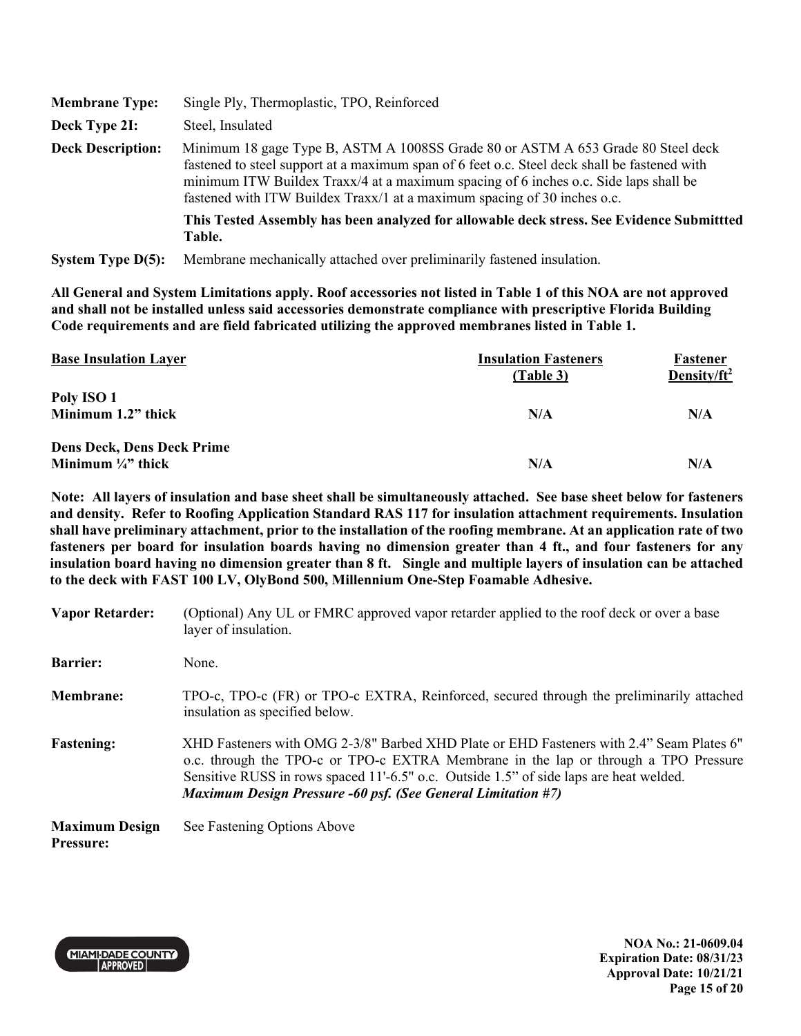| <b>Membrane Type:</b>    | Single Ply, Thermoplastic, TPO, Reinforced                                                                                                                                                                                                                                                                                                           |
|--------------------------|------------------------------------------------------------------------------------------------------------------------------------------------------------------------------------------------------------------------------------------------------------------------------------------------------------------------------------------------------|
| Deck Type 2I:            | Steel, Insulated                                                                                                                                                                                                                                                                                                                                     |
| <b>Deck Description:</b> | Minimum 18 gage Type B, ASTM A 1008SS Grade 80 or ASTM A 653 Grade 80 Steel deck<br>fastened to steel support at a maximum span of 6 feet o.c. Steel deck shall be fastened with<br>minimum ITW Buildex Traxx/4 at a maximum spacing of 6 inches o.c. Side laps shall be<br>fastened with ITW Buildex Traxx/1 at a maximum spacing of 30 inches o.c. |
|                          | This Tested Assembly has been analyzed for allowable deck stress. See Evidence Submittted<br>Table.                                                                                                                                                                                                                                                  |
| System Type $D(5)$ :     | Membrane mechanically attached over preliminarily fastened insulation.                                                                                                                                                                                                                                                                               |

| <b>Base Insulation Layer</b>      | <b>Insulation Fasteners</b><br>(Table 3) | Fastener<br>Density/ft <sup>2</sup> |
|-----------------------------------|------------------------------------------|-------------------------------------|
| Poly ISO 1                        |                                          |                                     |
| Minimum 1.2" thick                | N/A                                      | N/A                                 |
| <b>Dens Deck, Dens Deck Prime</b> |                                          |                                     |
| Minimum $\frac{1}{4}$ " thick     | N/A                                      | N/A                                 |

**Note: All layers of insulation and base sheet shall be simultaneously attached. See base sheet below for fasteners and density. Refer to Roofing Application Standard RAS 117 for insulation attachment requirements. Insulation shall have preliminary attachment, prior to the installation of the roofing membrane. At an application rate of two fasteners per board for insulation boards having no dimension greater than 4 ft., and four fasteners for any insulation board having no dimension greater than 8 ft. Single and multiple layers of insulation can be attached to the deck with FAST 100 LV, OlyBond 500, Millennium One-Step Foamable Adhesive.** 

| <b>Vapor Retarder:</b>                    | (Optional) Any UL or FMRC approved vapor retarder applied to the roof deck or over a base<br>layer of insulation.                                                                                                                                                                                                                                |
|-------------------------------------------|--------------------------------------------------------------------------------------------------------------------------------------------------------------------------------------------------------------------------------------------------------------------------------------------------------------------------------------------------|
| <b>Barrier:</b>                           | None.                                                                                                                                                                                                                                                                                                                                            |
| <b>Membrane:</b>                          | TPO-c, TPO-c (FR) or TPO-c EXTRA, Reinforced, secured through the preliminarily attached<br>insulation as specified below.                                                                                                                                                                                                                       |
| <b>Fastening:</b>                         | XHD Fasteners with OMG 2-3/8" Barbed XHD Plate or EHD Fasteners with 2.4" Seam Plates 6"<br>o.c. through the TPO-c or TPO-c EXTRA Membrane in the lap or through a TPO Pressure<br>Sensitive RUSS in rows spaced 11'-6.5" o.c. Outside 1.5" of side laps are heat welded.<br><b>Maximum Design Pressure -60 psf. (See General Limitation #7)</b> |
| <b>Maximum Design</b><br><b>Pressure:</b> | See Fastening Options Above                                                                                                                                                                                                                                                                                                                      |



**NOA No.: 21-0609.04 Expiration Date: 08/31/23 Approval Date: 10/21/21 Page 15 of 20**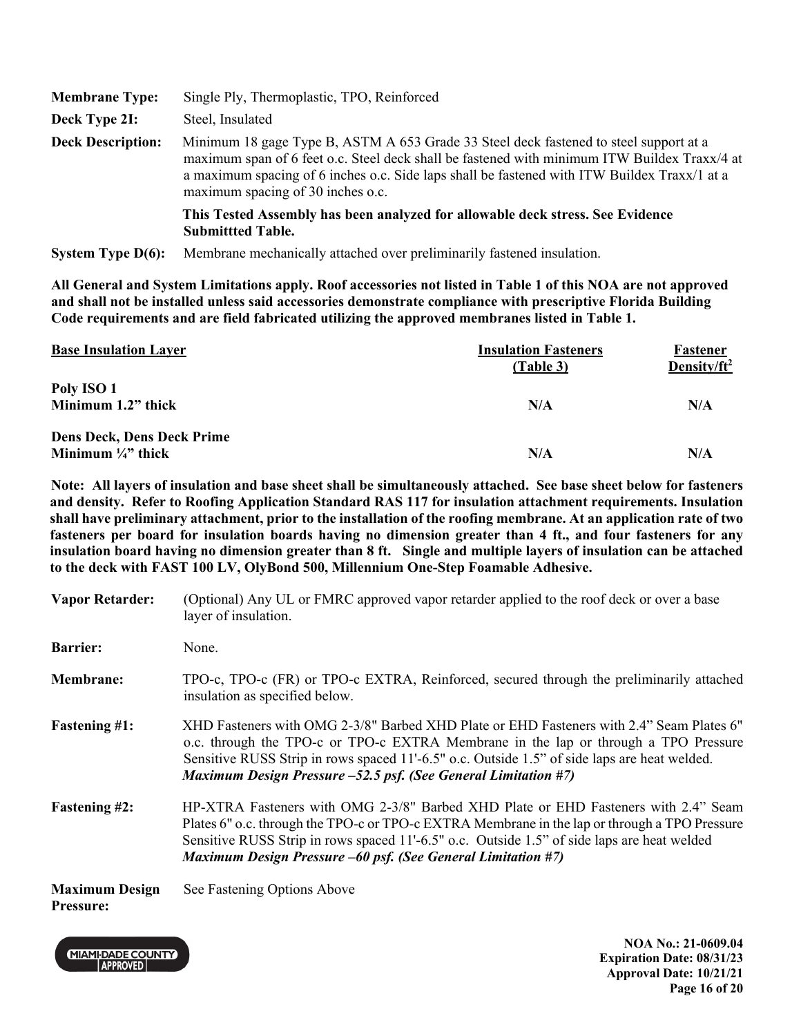| <b>Membrane Type:</b>    | Single Ply, Thermoplastic, TPO, Reinforced                                                                                                                                                                                                                                                                                 |  |
|--------------------------|----------------------------------------------------------------------------------------------------------------------------------------------------------------------------------------------------------------------------------------------------------------------------------------------------------------------------|--|
| Deck Type 2I:            | Steel, Insulated                                                                                                                                                                                                                                                                                                           |  |
| <b>Deck Description:</b> | Minimum 18 gage Type B, ASTM A 653 Grade 33 Steel deck fastened to steel support at a<br>maximum span of 6 feet o.c. Steel deck shall be fastened with minimum ITW Buildex Traxx/4 at<br>a maximum spacing of 6 inches o.c. Side laps shall be fastened with ITW Buildex Traxx/1 at a<br>maximum spacing of 30 inches o.c. |  |
|                          | This Tested Assembly has been analyzed for allowable deck stress. See Evidence<br><b>Submitted Table.</b>                                                                                                                                                                                                                  |  |
| System Type $D(6)$ :     | Membrane mechanically attached over preliminarily fastened insulation.                                                                                                                                                                                                                                                     |  |

| <b>Base Insulation Layer</b>      | <b>Insulation Fasteners</b><br>(Table 3) | Fastener<br>Density/ $ft^2$ |
|-----------------------------------|------------------------------------------|-----------------------------|
| Poly ISO 1                        |                                          |                             |
| Minimum 1.2" thick                | N/A                                      | N/A                         |
| <b>Dens Deck, Dens Deck Prime</b> |                                          |                             |
| Minimum $\frac{1}{4}$ thick       | N/A                                      | N/A                         |

**Note: All layers of insulation and base sheet shall be simultaneously attached. See base sheet below for fasteners and density. Refer to Roofing Application Standard RAS 117 for insulation attachment requirements. Insulation shall have preliminary attachment, prior to the installation of the roofing membrane. At an application rate of two fasteners per board for insulation boards having no dimension greater than 4 ft., and four fasteners for any insulation board having no dimension greater than 8 ft. Single and multiple layers of insulation can be attached to the deck with FAST 100 LV, OlyBond 500, Millennium One-Step Foamable Adhesive.** 

| <b>Vapor Retarder:</b>                    | (Optional) Any UL or FMRC approved vapor retarder applied to the roof deck or over a base<br>layer of insulation.                                                                                                                                                                                                                                         |
|-------------------------------------------|-----------------------------------------------------------------------------------------------------------------------------------------------------------------------------------------------------------------------------------------------------------------------------------------------------------------------------------------------------------|
| <b>Barrier:</b>                           | None.                                                                                                                                                                                                                                                                                                                                                     |
| <b>Membrane:</b>                          | TPO-c, TPO-c (FR) or TPO-c EXTRA, Reinforced, secured through the preliminarily attached<br>insulation as specified below.                                                                                                                                                                                                                                |
| <b>Fastening #1:</b>                      | "XHD Fasteners with OMG 2-3/8" Barbed XHD Plate or EHD Fasteners with 2.4" Seam Plates 6<br>o.c. through the TPO-c or TPO-c EXTRA Membrane in the lap or through a TPO Pressure<br>Sensitive RUSS Strip in rows spaced 11'-6.5" o.c. Outside 1.5" of side laps are heat welded.<br>Maximum Design Pressure -52.5 psf. (See General Limitation #7)         |
| <b>Fastening #2:</b>                      | HP-XTRA Fasteners with OMG 2-3/8" Barbed XHD Plate or EHD Fasteners with 2.4" Seam<br>Plates 6" o.c. through the TPO-c or TPO-c EXTRA Membrane in the lap or through a TPO Pressure<br>Sensitive RUSS Strip in rows spaced 11'-6.5" o.c. Outside 1.5" of side laps are heat welded<br><b>Maximum Design Pressure –60 psf. (See General Limitation #7)</b> |
| <b>Maximum Design</b><br><b>Pressure:</b> | See Fastening Options Above                                                                                                                                                                                                                                                                                                                               |

**MIAMI-DADE COUNTY** APPROVED

**NOA No.: 21-0609.04 Expiration Date: 08/31/23 Approval Date: 10/21/21 Page 16 of 20**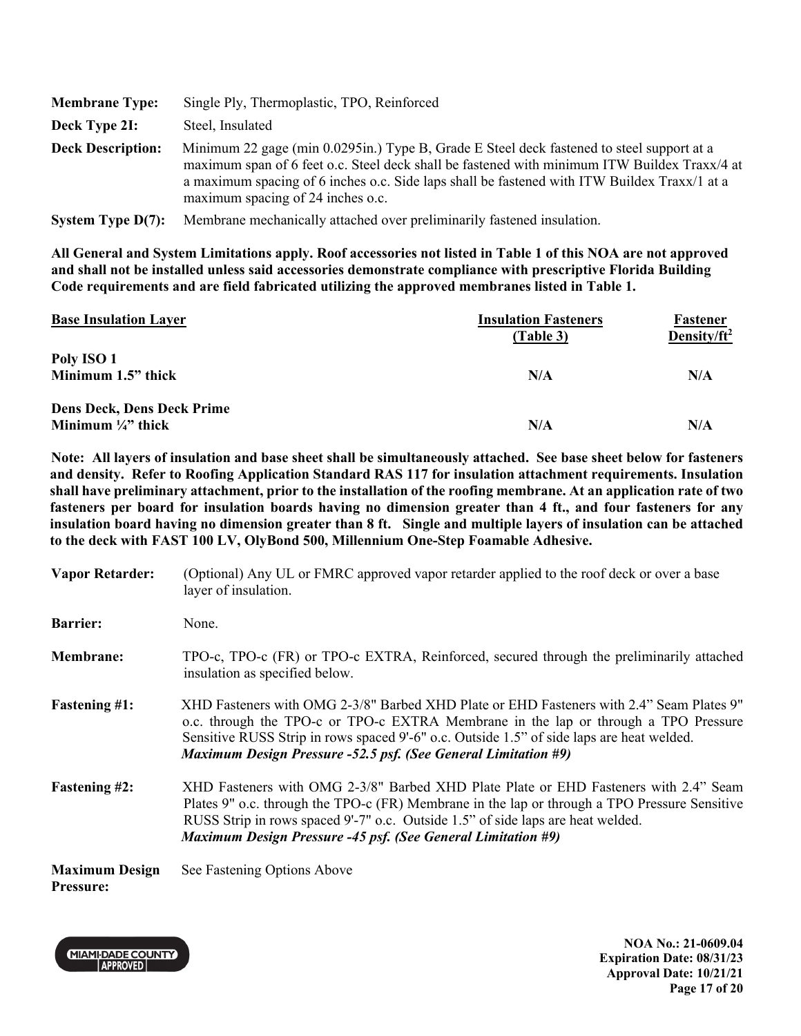| <b>Membrane Type:</b>    | Single Ply, Thermoplastic, TPO, Reinforced                                                                                                                                                                                                                                                                                     |
|--------------------------|--------------------------------------------------------------------------------------------------------------------------------------------------------------------------------------------------------------------------------------------------------------------------------------------------------------------------------|
| Deck Type 2I:            | Steel, Insulated                                                                                                                                                                                                                                                                                                               |
| <b>Deck Description:</b> | Minimum 22 gage (min 0.0295in.) Type B, Grade E Steel deck fastened to steel support at a<br>maximum span of 6 feet o.c. Steel deck shall be fastened with minimum ITW Buildex Traxx/4 at<br>a maximum spacing of 6 inches o.c. Side laps shall be fastened with ITW Buildex Traxx/1 at a<br>maximum spacing of 24 inches o.c. |
| System Type $D(7)$ :     | Membrane mechanically attached over preliminarily fastened insulation.                                                                                                                                                                                                                                                         |

| <b>Base Insulation Layer</b>      | <b>Insulation Fasteners</b><br>(Table 3) | Fastener<br>Density/ $ft^2$ |
|-----------------------------------|------------------------------------------|-----------------------------|
| Poly ISO 1                        |                                          |                             |
| Minimum 1.5" thick                | N/A                                      | N/A                         |
| <b>Dens Deck, Dens Deck Prime</b> |                                          |                             |
| Minimum $\frac{1}{4}$ " thick     | N/A                                      | N/A                         |

**Note: All layers of insulation and base sheet shall be simultaneously attached. See base sheet below for fasteners and density. Refer to Roofing Application Standard RAS 117 for insulation attachment requirements. Insulation shall have preliminary attachment, prior to the installation of the roofing membrane. At an application rate of two fasteners per board for insulation boards having no dimension greater than 4 ft., and four fasteners for any insulation board having no dimension greater than 8 ft. Single and multiple layers of insulation can be attached to the deck with FAST 100 LV, OlyBond 500, Millennium One-Step Foamable Adhesive.** 

| <b>Vapor Retarder:</b>                    | (Optional) Any UL or FMRC approved vapor retarder applied to the roof deck or over a base<br>layer of insulation.                                                                                                                                                                                                                                     |
|-------------------------------------------|-------------------------------------------------------------------------------------------------------------------------------------------------------------------------------------------------------------------------------------------------------------------------------------------------------------------------------------------------------|
| <b>Barrier:</b>                           | None.                                                                                                                                                                                                                                                                                                                                                 |
| <b>Membrane:</b>                          | TPO-c, TPO-c (FR) or TPO-c EXTRA, Reinforced, secured through the preliminarily attached<br>insulation as specified below.                                                                                                                                                                                                                            |
| <b>Fastening #1:</b>                      | XHD Fasteners with OMG 2-3/8" Barbed XHD Plate or EHD Fasteners with 2.4" Seam Plates 9"<br>o.c. through the TPO-c or TPO-c EXTRA Membrane in the lap or through a TPO Pressure<br>Sensitive RUSS Strip in rows spaced 9'-6" o.c. Outside 1.5" of side laps are heat welded.<br><b>Maximum Design Pressure -52.5 psf. (See General Limitation #9)</b> |
| <b>Fastening #2:</b>                      | XHD Fasteners with OMG 2-3/8" Barbed XHD Plate Plate or EHD Fasteners with 2.4" Seam<br>Plates 9" o.c. through the TPO-c (FR) Membrane in the lap or through a TPO Pressure Sensitive<br>RUSS Strip in rows spaced 9'-7" o.c. Outside 1.5" of side laps are heat welded.<br><b>Maximum Design Pressure -45 psf. (See General Limitation #9)</b>       |
| <b>Maximum Design</b><br><b>Pressure:</b> | See Fastening Options Above                                                                                                                                                                                                                                                                                                                           |



**NOA No.: 21-0609.04 Expiration Date: 08/31/23 Approval Date: 10/21/21 Page 17 of 20**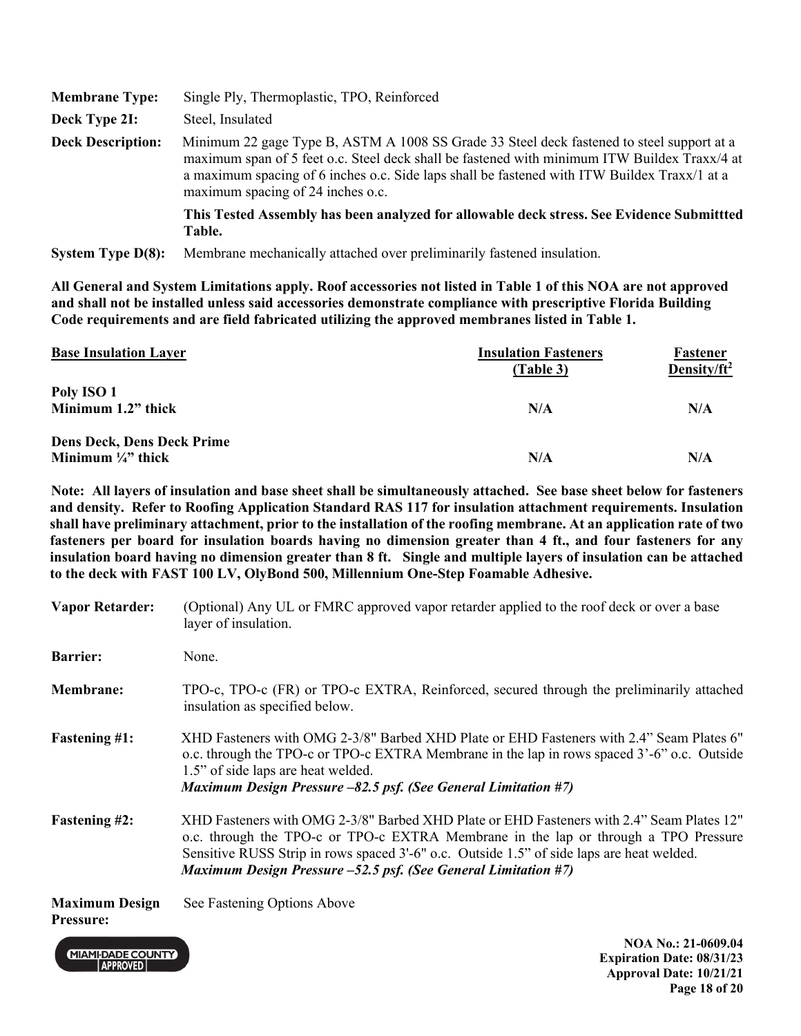| <b>Membrane Type:</b>    | Single Ply, Thermoplastic, TPO, Reinforced                                                                                                                                                                                                                                                                                     |
|--------------------------|--------------------------------------------------------------------------------------------------------------------------------------------------------------------------------------------------------------------------------------------------------------------------------------------------------------------------------|
| Deck Type 2I:            | Steel, Insulated                                                                                                                                                                                                                                                                                                               |
| <b>Deck Description:</b> | Minimum 22 gage Type B, ASTM A 1008 SS Grade 33 Steel deck fastened to steel support at a<br>maximum span of 5 feet o.c. Steel deck shall be fastened with minimum ITW Buildex Traxx/4 at<br>a maximum spacing of 6 inches o.c. Side laps shall be fastened with ITW Buildex Traxx/1 at a<br>maximum spacing of 24 inches o.c. |
|                          | This Tested Assembly has been analyzed for allowable deck stress. See Evidence Submittted<br>Table.                                                                                                                                                                                                                            |
| System Type $D(8)$ :     | Membrane mechanically attached over preliminarily fastened insulation.                                                                                                                                                                                                                                                         |

| <b>Base Insulation Layer</b>      | <b>Insulation Fasteners</b><br>(Table 3) | Fastener<br>Density/ft <sup>2</sup> |
|-----------------------------------|------------------------------------------|-------------------------------------|
| Poly ISO 1                        |                                          |                                     |
| Minimum 1.2" thick                | N/A                                      | N/A                                 |
| <b>Dens Deck, Dens Deck Prime</b> |                                          |                                     |
| Minimum $\frac{1}{4}$ thick       | N/A                                      | N/A                                 |

**Note: All layers of insulation and base sheet shall be simultaneously attached. See base sheet below for fasteners and density. Refer to Roofing Application Standard RAS 117 for insulation attachment requirements. Insulation shall have preliminary attachment, prior to the installation of the roofing membrane. At an application rate of two fasteners per board for insulation boards having no dimension greater than 4 ft., and four fasteners for any insulation board having no dimension greater than 8 ft. Single and multiple layers of insulation can be attached to the deck with FAST 100 LV, OlyBond 500, Millennium One-Step Foamable Adhesive.** 

| <b>Vapor Retarder:</b>                    | (Optional) Any UL or FMRC approved vapor retarder applied to the roof deck or over a base<br>layer of insulation.                                                                                                                                                                                                                               |
|-------------------------------------------|-------------------------------------------------------------------------------------------------------------------------------------------------------------------------------------------------------------------------------------------------------------------------------------------------------------------------------------------------|
| <b>Barrier:</b>                           | None.                                                                                                                                                                                                                                                                                                                                           |
| <b>Membrane:</b>                          | TPO-c, TPO-c (FR) or TPO-c EXTRA, Reinforced, secured through the preliminarily attached<br>insulation as specified below.                                                                                                                                                                                                                      |
| <b>Fastening #1:</b>                      | XHD Fasteners with OMG 2-3/8" Barbed XHD Plate or EHD Fasteners with 2.4" Seam Plates 6"<br>o.c. through the TPO-c or TPO-c EXTRA Membrane in the lap in rows spaced 3'-6" o.c. Outside<br>1.5" of side laps are heat welded.<br>Maximum Design Pressure $-82.5$ psf. (See General Limitation #7)                                               |
| <b>Fastening #2:</b>                      | XHD Fasteners with OMG 2-3/8" Barbed XHD Plate or EHD Fasteners with 2.4" Seam Plates 12"<br>o.c. through the TPO-c or TPO-c EXTRA Membrane in the lap or through a TPO Pressure<br>Sensitive RUSS Strip in rows spaced 3'-6" o.c. Outside 1.5" of side laps are heat welded.<br>Maximum Design Pressure -52.5 psf. (See General Limitation #7) |
| <b>Maximum Design</b><br><b>Pressure:</b> | See Fastening Options Above                                                                                                                                                                                                                                                                                                                     |

**MIAMI-DADE COUNTY** APPROVED

**NOA No.: 21-0609.04 Expiration Date: 08/31/23 Approval Date: 10/21/21 Page 18 of 20**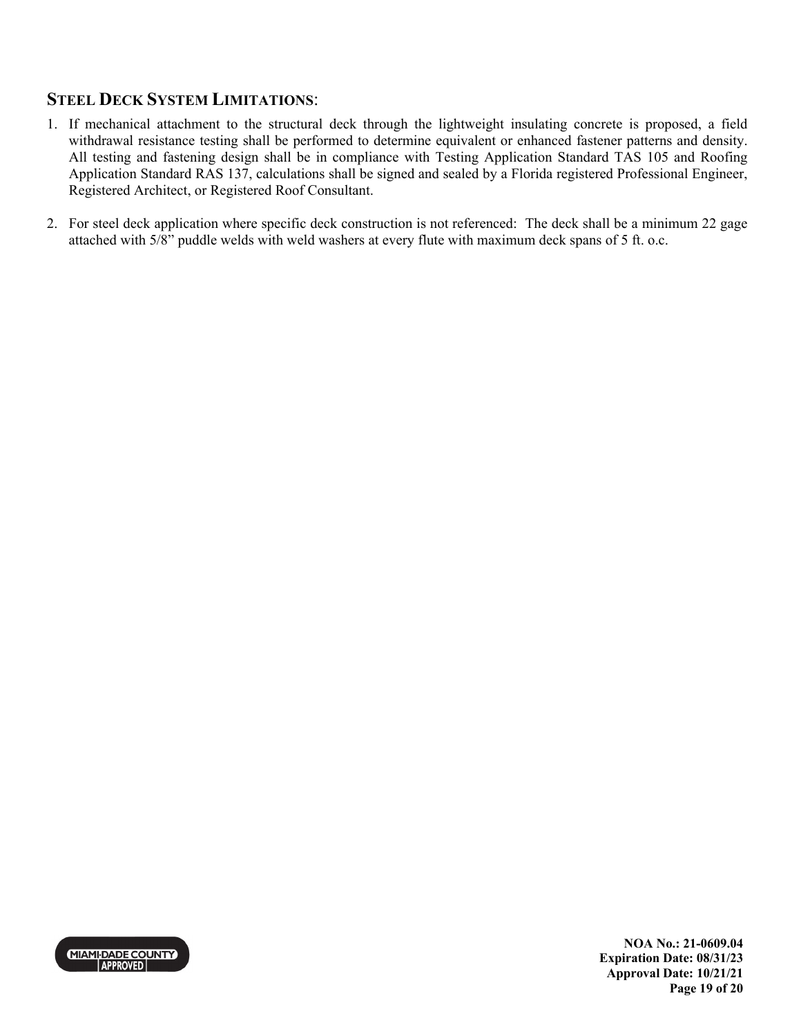# **STEEL DECK SYSTEM LIMITATIONS**:

- 1. If mechanical attachment to the structural deck through the lightweight insulating concrete is proposed, a field withdrawal resistance testing shall be performed to determine equivalent or enhanced fastener patterns and density. All testing and fastening design shall be in compliance with Testing Application Standard TAS 105 and Roofing Application Standard RAS 137, calculations shall be signed and sealed by a Florida registered Professional Engineer, Registered Architect, or Registered Roof Consultant.
- 2. For steel deck application where specific deck construction is not referenced: The deck shall be a minimum 22 gage attached with 5/8" puddle welds with weld washers at every flute with maximum deck spans of 5 ft. o.c.



**NOA No.: 21-0609.04 Expiration Date: 08/31/23 Approval Date: 10/21/21 Page 19 of 20**